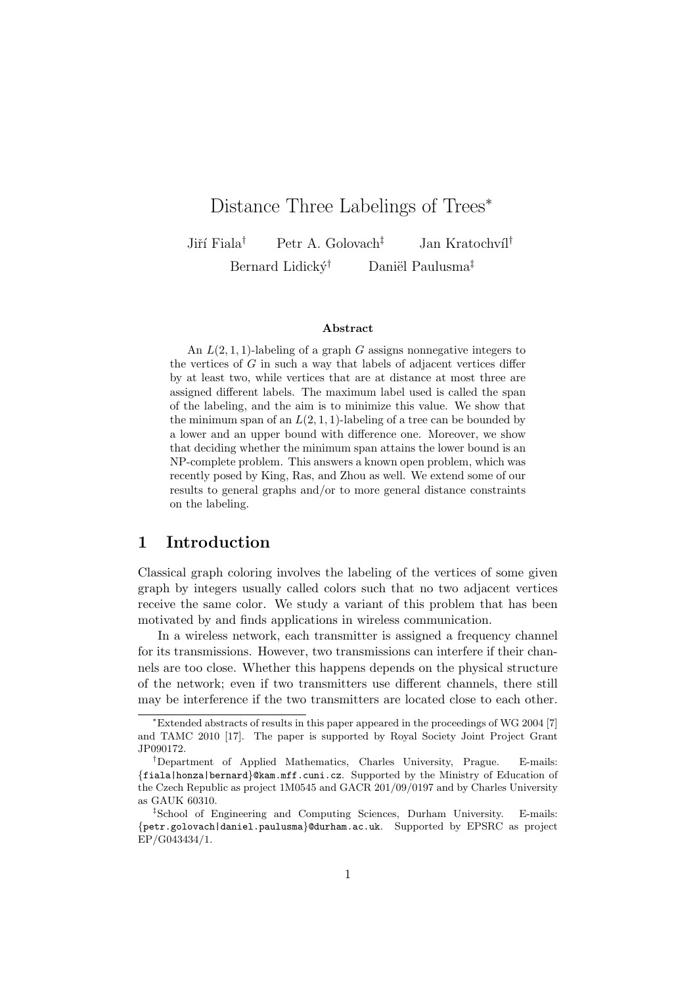# Distance Three Labelings of Trees<sup>∗</sup>

Jiří Fiala<sup>†</sup> Petr A. Golovach<sup>‡</sup> Jan Kratochvíl<sup>†</sup> Bernard Lidický<sup>†</sup> Daniël Paulusma<sup>‡</sup>

#### Abstract

An  $L(2, 1, 1)$ -labeling of a graph G assigns nonnegative integers to the vertices of  $G$  in such a way that labels of adjacent vertices differ by at least two, while vertices that are at distance at most three are assigned different labels. The maximum label used is called the span of the labeling, and the aim is to minimize this value. We show that the minimum span of an  $L(2,1,1)$ -labeling of a tree can be bounded by a lower and an upper bound with difference one. Moreover, we show that deciding whether the minimum span attains the lower bound is an NP-complete problem. This answers a known open problem, which was recently posed by King, Ras, and Zhou as well. We extend some of our results to general graphs and/or to more general distance constraints on the labeling.

## 1 Introduction

Classical graph coloring involves the labeling of the vertices of some given graph by integers usually called colors such that no two adjacent vertices receive the same color. We study a variant of this problem that has been motivated by and finds applications in wireless communication.

In a wireless network, each transmitter is assigned a frequency channel for its transmissions. However, two transmissions can interfere if their channels are too close. Whether this happens depends on the physical structure of the network; even if two transmitters use different channels, there still may be interference if the two transmitters are located close to each other.

<sup>∗</sup>Extended abstracts of results in this paper appeared in the proceedings of WG 2004 [7] and TAMC 2010 [17]. The paper is supported by Royal Society Joint Project Grant JP090172.

<sup>†</sup>Department of Applied Mathematics, Charles University, Prague. E-mails: {fiala|honza|bernard}@kam.mff.cuni.cz. Supported by the Ministry of Education of the Czech Republic as project 1M0545 and GACR 201/09/0197 and by Charles University as GAUK 60310.

<sup>‡</sup>School of Engineering and Computing Sciences, Durham University. E-mails: {petr.golovach|daniel.paulusma}@durham.ac.uk. Supported by EPSRC as project EP/G043434/1.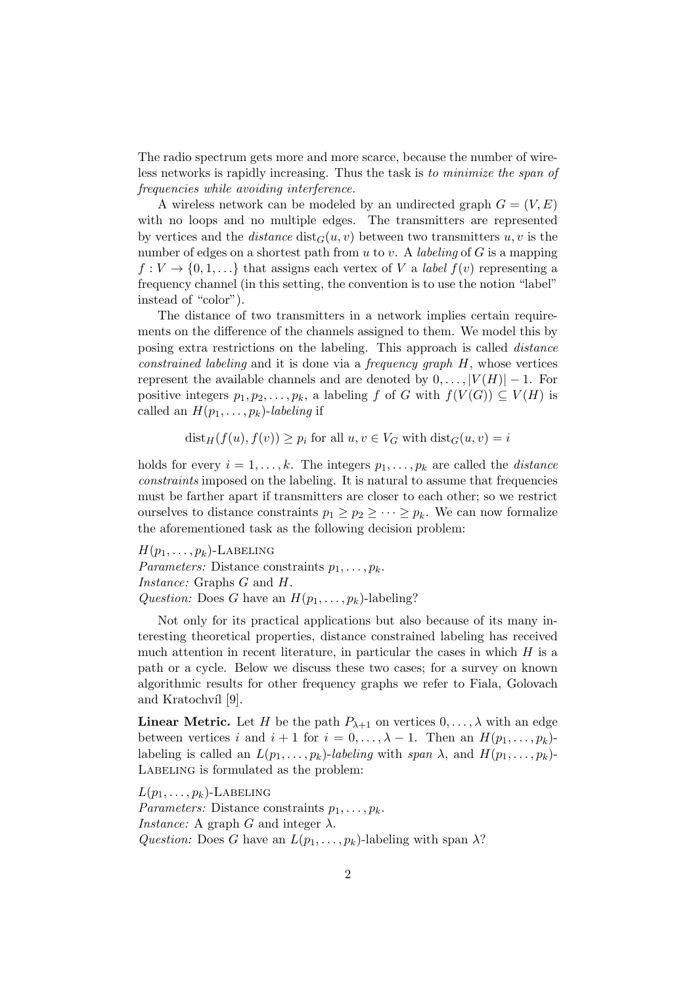The radio spectrum gets more and more scarce, because the number of wireless networks is rapidly increasing. Thus the task is to minimize the span of frequencies while avoiding interference.

A wireless network can be modeled by an undirected graph  $G = (V, E)$ with no loops and no multiple edges. The transmitters are represented by vertices and the *distance* dist<sub>G</sub> $(u, v)$  between two transmitters u, v is the number of edges on a shortest path from u to v. A *labeling* of G is a mapping  $f: V \to \{0, 1, \ldots\}$  that assigns each vertex of V a *label*  $f(v)$  representing a frequency channel (in this setting, the convention is to use the notion "label" instead of "color").

The distance of two transmitters in a network implies certain requirements on the difference of the channels assigned to them. We model this by posing extra restrictions on the labeling. This approach is called distance constrained labeling and it is done via a frequency graph H, whose vertices represent the available channels and are denoted by  $0, \ldots, |V(H)| - 1$ . For positive integers  $p_1, p_2, \ldots, p_k$ , a labeling f of G with  $f(V(G)) \subseteq V(H)$  is called an  $H(p_1, \ldots, p_k)$ -labeling if

$$
dist_H(f(u), f(v)) \ge p_i \text{ for all } u, v \in V_G \text{ with } dist_G(u, v) = i
$$

holds for every  $i = 1, \ldots, k$ . The integers  $p_1, \ldots, p_k$  are called the *distance* constraints imposed on the labeling. It is natural to assume that frequencies must be farther apart if transmitters are closer to each other; so we restrict ourselves to distance constraints  $p_1 \geq p_2 \geq \cdots \geq p_k$ . We can now formalize the aforementioned task as the following decision problem:

 $H(p_1, \ldots, p_k)$ -LABELING *Parameters:* Distance constraints  $p_1, \ldots, p_k$ . Instance: Graphs G and H. Question: Does G have an  $H(p_1, \ldots, p_k)$ -labeling?

Not only for its practical applications but also because of its many interesting theoretical properties, distance constrained labeling has received much attention in recent literature, in particular the cases in which  $H$  is a path or a cycle. Below we discuss these two cases; for a survey on known algorithmic results for other frequency graphs we refer to Fiala, Golovach and Kratochvíl [9].

**Linear Metric.** Let H be the path  $P_{\lambda+1}$  on vertices  $0, \ldots, \lambda$  with an edge between vertices i and  $i + 1$  for  $i = 0, \ldots, \lambda - 1$ . Then an  $H(p_1, \ldots, p_k)$ labeling is called an  $L(p_1, \ldots, p_k)$ -labeling with span  $\lambda$ , and  $H(p_1, \ldots, p_k)$ -LABELING is formulated as the problem:

 $L(p_1, \ldots, p_k)$ -LABELING *Parameters:* Distance constraints  $p_1, \ldots, p_k$ . *Instance:* A graph G and integer  $\lambda$ . Question: Does G have an  $L(p_1, \ldots, p_k)$ -labeling with span  $\lambda$ ?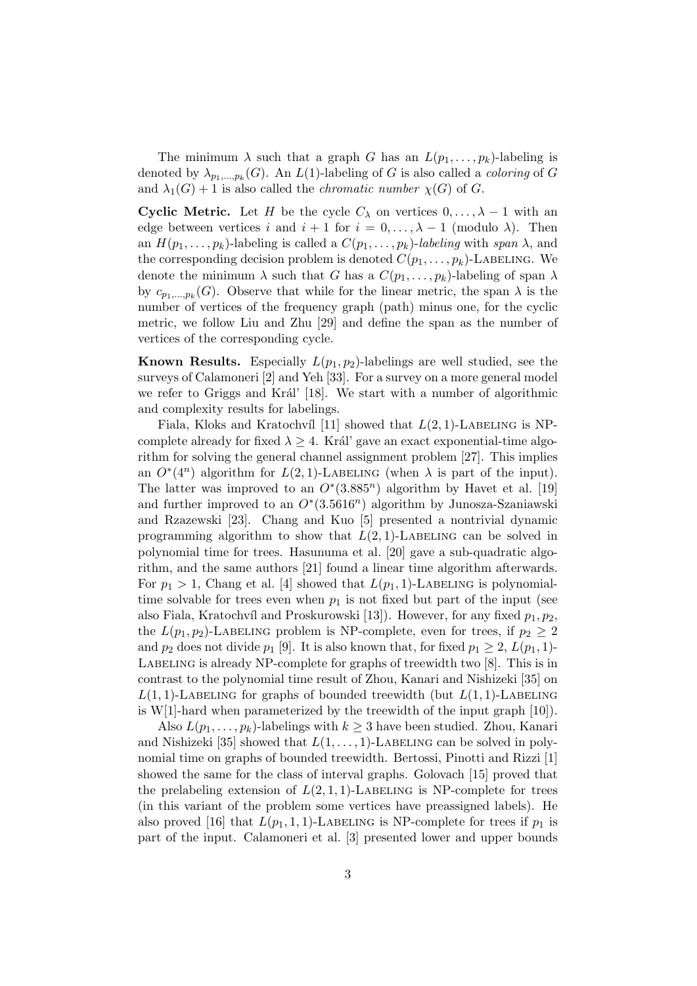The minimum  $\lambda$  such that a graph G has an  $L(p_1, \ldots, p_k)$ -labeling is denoted by  $\lambda_{p_1,...,p_k}(G)$ . An  $L(1)$ -labeling of G is also called a *coloring* of G and  $\lambda_1(G) + 1$  is also called the *chromatic number*  $\chi(G)$  of G.

Cyclic Metric. Let H be the cycle  $C_{\lambda}$  on vertices  $0, \ldots, \lambda - 1$  with an edge between vertices i and  $i + 1$  for  $i = 0, \ldots, \lambda - 1$  (modulo  $\lambda$ ). Then an  $H(p_1, \ldots, p_k)$ -labeling is called a  $C(p_1, \ldots, p_k)$ -labeling with span  $\lambda$ , and the corresponding decision problem is denoted  $C(p_1, \ldots, p_k)$ -LABELING. We denote the minimum  $\lambda$  such that G has a  $C(p_1, \ldots, p_k)$ -labeling of span  $\lambda$ by  $c_{p_1,\dots,p_k}(G)$ . Observe that while for the linear metric, the span  $\lambda$  is the number of vertices of the frequency graph (path) minus one, for the cyclic metric, we follow Liu and Zhu [29] and define the span as the number of vertices of the corresponding cycle.

**Known Results.** Especially  $L(p_1, p_2)$ -labelings are well studied, see the surveys of Calamoneri [2] and Yeh [33]. For a survey on a more general model we refer to Griggs and Král' [18]. We start with a number of algorithmic and complexity results for labelings.

Fiala, Kloks and Kratochvíl [11] showed that  $L(2, 1)$ -LABELING is NPcomplete already for fixed  $\lambda \geq 4$ . Král' gave an exact exponential-time algorithm for solving the general channel assignment problem [27]. This implies an  $O^*(4^n)$  algorithm for  $L(2,1)$ -LABELING (when  $\lambda$  is part of the input). The latter was improved to an  $O<sup>*</sup>(3.885<sup>n</sup>)$  algorithm by Havet et al. [19] and further improved to an  $O<sup>*</sup>(3.5616<sup>n</sup>)$  algorithm by Junosza-Szaniawski and Rzazewski [23]. Chang and Kuo [5] presented a nontrivial dynamic programming algorithm to show that  $L(2, 1)$ -LABELING can be solved in polynomial time for trees. Hasunuma et al. [20] gave a sub-quadratic algorithm, and the same authors [21] found a linear time algorithm afterwards. For  $p_1 > 1$ , Chang et al. [4] showed that  $L(p_1, 1)$ -LABELING is polynomialtime solvable for trees even when  $p_1$  is not fixed but part of the input (see also Fiala, Kratochvíl and Proskurowski [13]). However, for any fixed  $p_1, p_2$ , the  $L(p_1, p_2)$ -Labeling problem is NP-complete, even for trees, if  $p_2 \geq 2$ and  $p_2$  does not divide  $p_1$  [9]. It is also known that, for fixed  $p_1 \geq 2$ ,  $L(p_1, 1)$ -LABELING is already NP-complete for graphs of treewidth two  $[8]$ . This is in contrast to the polynomial time result of Zhou, Kanari and Nishizeki [35] on  $L(1, 1)$ -Labeling for graphs of bounded treewidth (but  $L(1, 1)$ -Labeling is W[1]-hard when parameterized by the treewidth of the input graph [10]).

Also  $L(p_1, \ldots, p_k)$ -labelings with  $k \geq 3$  have been studied. Zhou, Kanari and Nishizeki [35] showed that  $L(1, \ldots, 1)$ -LABELING can be solved in polynomial time on graphs of bounded treewidth. Bertossi, Pinotti and Rizzi [1] showed the same for the class of interval graphs. Golovach [15] proved that the prelabeling extension of  $L(2,1,1)$ -LABELING is NP-complete for trees (in this variant of the problem some vertices have preassigned labels). He also proved [16] that  $L(p_1, 1, 1)$ -LABELING is NP-complete for trees if  $p_1$  is part of the input. Calamoneri et al. [3] presented lower and upper bounds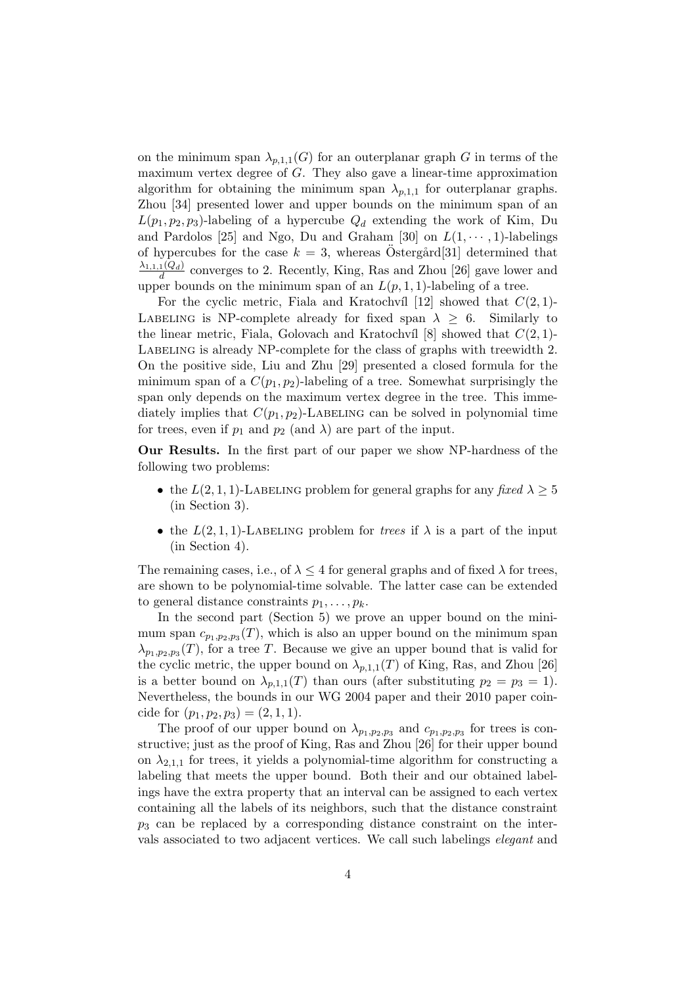on the minimum span  $\lambda_{p,1,1}(G)$  for an outerplanar graph G in terms of the maximum vertex degree of G. They also gave a linear-time approximation algorithm for obtaining the minimum span  $\lambda_{p,1,1}$  for outerplanar graphs. Zhou [34] presented lower and upper bounds on the minimum span of an  $L(p_1, p_2, p_3)$ -labeling of a hypercube  $Q_d$  extending the work of Kim, Du and Pardolos [25] and Ngo, Du and Graham [30] on  $L(1, \dots, 1)$ -labelings of hypercubes for the case  $k = 3$ , whereas  $\ddot{\text{O}}$ stergård[31] determined that  $\lambda_{1,1,1}(Q_d)$  $\frac{d}{d}$  converges to 2. Recently, King, Ras and Zhou [26] gave lower and upper bounds on the minimum span of an  $L(p, 1, 1)$ -labeling of a tree.

For the cyclic metric, Fiala and Kratochvíl [12] showed that  $C(2, 1)$ -LABELING is NP-complete already for fixed span  $\lambda \geq 6$ . Similarly to the linear metric, Fiala, Golovach and Kratochvíl [8] showed that  $C(2, 1)$ -LABELING is already NP-complete for the class of graphs with treewidth 2. On the positive side, Liu and Zhu [29] presented a closed formula for the minimum span of a  $C(p_1, p_2)$ -labeling of a tree. Somewhat surprisingly the span only depends on the maximum vertex degree in the tree. This immediately implies that  $C(p_1, p_2)$ -LABELING can be solved in polynomial time for trees, even if  $p_1$  and  $p_2$  (and  $\lambda$ ) are part of the input.

Our Results. In the first part of our paper we show NP-hardness of the following two problems:

- the  $L(2, 1, 1)$ -LABELING problem for general graphs for any fixed  $\lambda \geq 5$ (in Section 3).
- the  $L(2,1,1)$ -LABELING problem for trees if  $\lambda$  is a part of the input (in Section 4).

The remaining cases, i.e., of  $\lambda \leq 4$  for general graphs and of fixed  $\lambda$  for trees, are shown to be polynomial-time solvable. The latter case can be extended to general distance constraints  $p_1, \ldots, p_k$ .

In the second part (Section 5) we prove an upper bound on the minimum span  $c_{p_1,p_2,p_3}(T)$ , which is also an upper bound on the minimum span  $\lambda_{p_1,p_2,p_3}(T)$ , for a tree T. Because we give an upper bound that is valid for the cyclic metric, the upper bound on  $\lambda_{p,1,1}(T)$  of King, Ras, and Zhou [26] is a better bound on  $\lambda_{p,1,1}(T)$  than ours (after substituting  $p_2 = p_3 = 1$ ). Nevertheless, the bounds in our WG 2004 paper and their 2010 paper coincide for  $(p_1, p_2, p_3) = (2, 1, 1).$ 

The proof of our upper bound on  $\lambda_{p_1,p_2,p_3}$  and  $c_{p_1,p_2,p_3}$  for trees is constructive; just as the proof of King, Ras and Zhou [26] for their upper bound on  $\lambda_{2,1,1}$  for trees, it yields a polynomial-time algorithm for constructing a labeling that meets the upper bound. Both their and our obtained labelings have the extra property that an interval can be assigned to each vertex containing all the labels of its neighbors, such that the distance constraint  $p_3$  can be replaced by a corresponding distance constraint on the intervals associated to two adjacent vertices. We call such labelings elegant and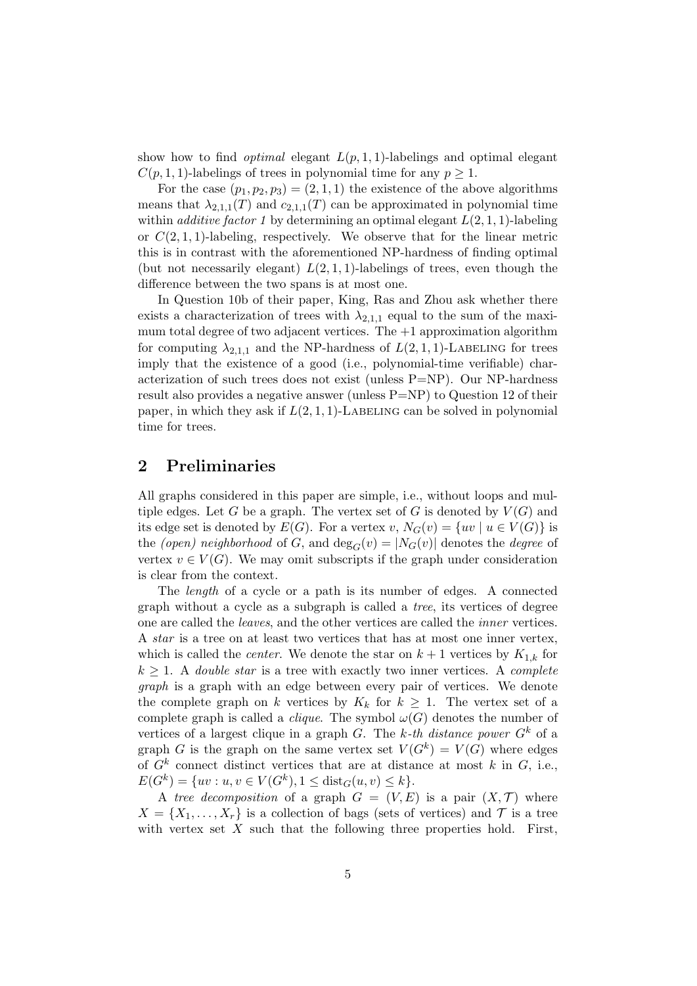show how to find *optimal* elegant  $L(p, 1, 1)$ -labelings and optimal elegant  $C(p, 1, 1)$ -labelings of trees in polynomial time for any  $p \geq 1$ .

For the case  $(p_1, p_2, p_3) = (2, 1, 1)$  the existence of the above algorithms means that  $\lambda_{2,1,1}(T)$  and  $c_{2,1,1}(T)$  can be approximated in polynomial time within *additive factor 1* by determining an optimal elegant  $L(2,1,1)$ -labeling or  $C(2, 1, 1)$ -labeling, respectively. We observe that for the linear metric this is in contrast with the aforementioned NP-hardness of finding optimal (but not necessarily elegant)  $L(2,1,1)$ -labelings of trees, even though the difference between the two spans is at most one.

In Question 10b of their paper, King, Ras and Zhou ask whether there exists a characterization of trees with  $\lambda_{2,1,1}$  equal to the sum of the maximum total degree of two adjacent vertices. The  $+1$  approximation algorithm for computing  $\lambda_{2,1,1}$  and the NP-hardness of  $L(2,1,1)$ -LABELING for trees imply that the existence of a good (i.e., polynomial-time verifiable) characterization of such trees does not exist (unless P=NP). Our NP-hardness result also provides a negative answer (unless P=NP) to Question 12 of their paper, in which they ask if  $L(2, 1, 1)$ -LABELING can be solved in polynomial time for trees.

## 2 Preliminaries

All graphs considered in this paper are simple, i.e., without loops and multiple edges. Let G be a graph. The vertex set of G is denoted by  $V(G)$  and its edge set is denoted by  $E(G)$ . For a vertex v,  $N_G(v) = \{uv \mid u \in V(G)\}\$ is the (open) neighborhood of G, and  $deg_G(v) = |N_G(v)|$  denotes the *degree* of vertex  $v \in V(G)$ . We may omit subscripts if the graph under consideration is clear from the context.

The length of a cycle or a path is its number of edges. A connected graph without a cycle as a subgraph is called a tree, its vertices of degree one are called the leaves, and the other vertices are called the inner vertices. A star is a tree on at least two vertices that has at most one inner vertex, which is called the *center*. We denote the star on  $k + 1$  vertices by  $K_{1,k}$  for  $k \geq 1$ . A *double star* is a tree with exactly two inner vertices. A *complete* graph is a graph with an edge between every pair of vertices. We denote the complete graph on k vertices by  $K_k$  for  $k \geq 1$ . The vertex set of a complete graph is called a *clique*. The symbol  $\omega(G)$  denotes the number of vertices of a largest clique in a graph G. The k-th distance power  $G^k$  of a graph G is the graph on the same vertex set  $V(G^k) = V(G)$  where edges of  $G^k$  connect distinct vertices that are at distance at most k in  $G$ , i.e.,  $E(G^{k}) = \{uv : u, v \in V(G^{k}), 1 \leq \text{dist}_{G}(u, v) \leq k\}.$ 

A tree decomposition of a graph  $G = (V, E)$  is a pair  $(X, \mathcal{T})$  where  $X = \{X_1, \ldots, X_r\}$  is a collection of bags (sets of vertices) and  $\mathcal T$  is a tree with vertex set  $X$  such that the following three properties hold. First,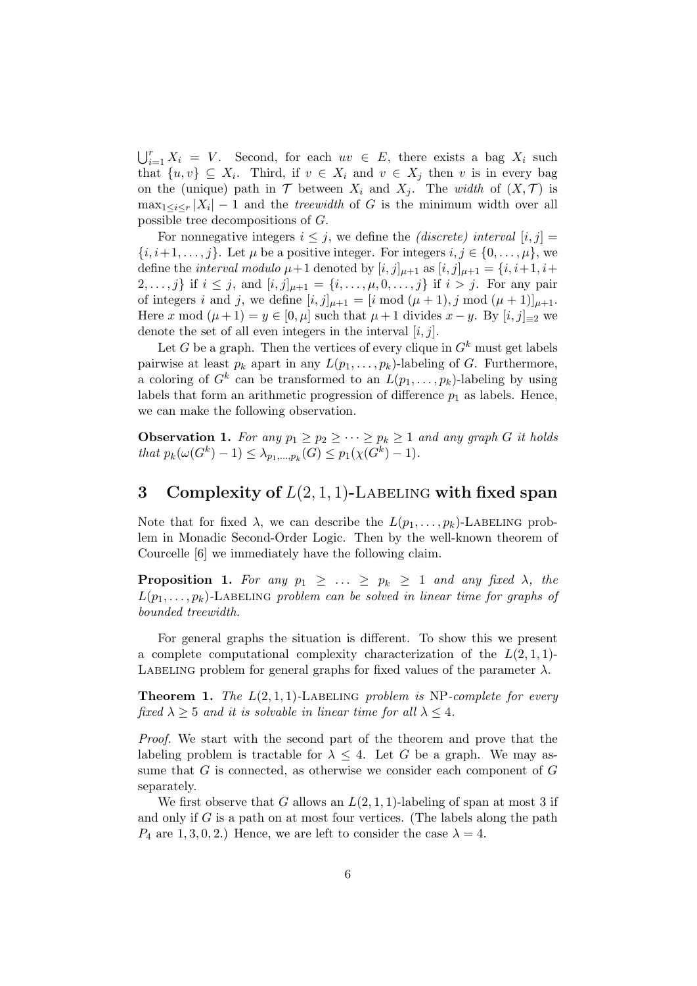$\bigcup_{i=1}^r X_i = V$ . Second, for each  $uv \in E$ , there exists a bag  $X_i$  such that  $\{u, v\} \subseteq X_i$ . Third, if  $v \in X_i$  and  $v \in X_j$  then v is in every bag on the (unique) path in  $\mathcal T$  between  $X_i$  and  $X_j$ . The width of  $(X, \mathcal T)$  is  $\max_{1 \leq i \leq r} |X_i| - 1$  and the *treewidth* of G is the minimum width over all possible tree decompositions of G.

For nonnegative integers  $i \leq j$ , we define the *(discrete)* interval  $[i, j] =$  $\{i, i+1, \ldots, j\}$ . Let  $\mu$  be a positive integer. For integers  $i, j \in \{0, \ldots, \mu\}$ , we define the *interval modulo*  $\mu+1$  denoted by  $[i, j]_{\mu+1}$  as  $[i, j]_{\mu+1} = \{i, i+1, i+1\}$ 2,..., *j*} if  $i \leq j$ , and  $[i, j]_{\mu+1} = \{i, \ldots, \mu, 0, \ldots, j\}$  if  $i > j$ . For any pair of integers i and j, we define  $[i, j]_{\mu+1} = [i \mod (\mu + 1), j \mod (\mu + 1)]_{\mu+1}$ . Here x mod  $(\mu + 1) = y \in [0, \mu]$  such that  $\mu + 1$  divides  $x - y$ . By  $[i, j]_{i \geq 2}$  we denote the set of all even integers in the interval  $[i, j]$ .

Let G be a graph. Then the vertices of every clique in  $G<sup>k</sup>$  must get labels pairwise at least  $p_k$  apart in any  $L(p_1, \ldots, p_k)$ -labeling of G. Furthermore, a coloring of  $G^k$  can be transformed to an  $L(p_1, \ldots, p_k)$ -labeling by using labels that form an arithmetic progression of difference  $p_1$  as labels. Hence, we can make the following observation.

**Observation 1.** For any  $p_1 \geq p_2 \geq \cdots \geq p_k \geq 1$  and any graph G it holds that  $p_k(\omega(G^k) - 1) \leq \lambda_{p_1,...,p_k}(G) \leq p_1(\chi(G^k) - 1).$ 

## 3 Complexity of  $L(2,1,1)$ -LABELING with fixed span

Note that for fixed  $\lambda$ , we can describe the  $L(p_1, \ldots, p_k)$ -LABELING problem in Monadic Second-Order Logic. Then by the well-known theorem of Courcelle [6] we immediately have the following claim.

**Proposition 1.** For any  $p_1 \geq \ldots \geq p_k \geq 1$  and any fixed  $\lambda$ , the  $L(p_1, \ldots, p_k)$ -LABELING problem can be solved in linear time for graphs of bounded treewidth.

For general graphs the situation is different. To show this we present a complete computational complexity characterization of the  $L(2,1,1)$ -LABELING problem for general graphs for fixed values of the parameter  $\lambda$ .

**Theorem 1.** The  $L(2,1,1)$ -LABELING problem is NP-complete for every fixed  $\lambda \geq 5$  and it is solvable in linear time for all  $\lambda \leq 4$ .

Proof. We start with the second part of the theorem and prove that the labeling problem is tractable for  $\lambda \leq 4$ . Let G be a graph. We may assume that  $G$  is connected, as otherwise we consider each component of  $G$ separately.

We first observe that G allows an  $L(2,1,1)$ -labeling of span at most 3 if and only if  $G$  is a path on at most four vertices. (The labels along the path  $P_4$  are 1, 3, 0, 2.) Hence, we are left to consider the case  $\lambda = 4$ .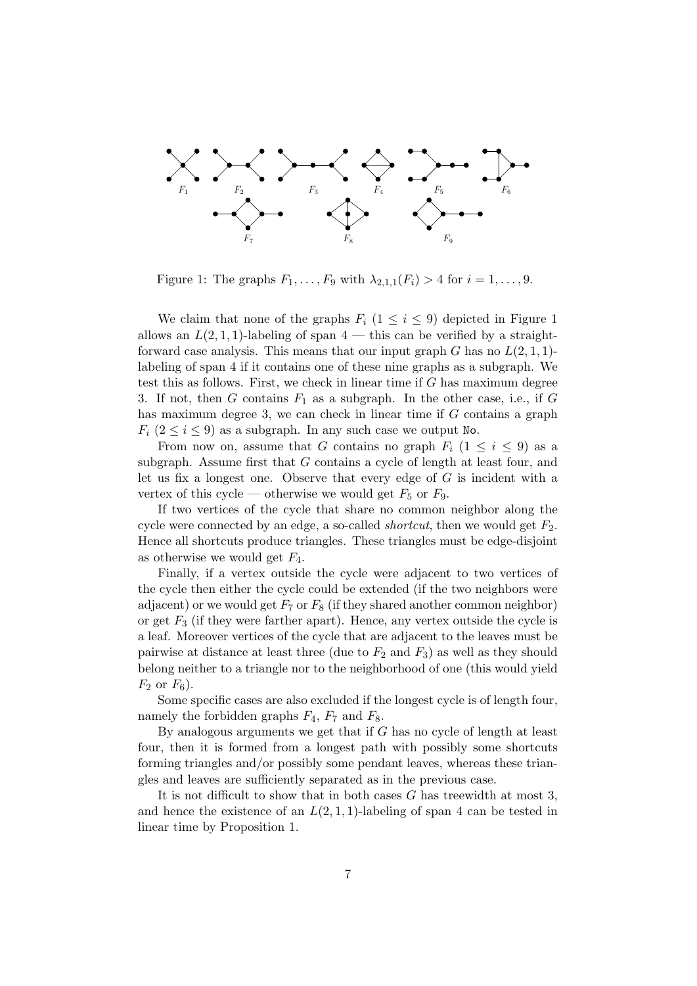

Figure 1: The graphs  $F_1, \ldots, F_9$  with  $\lambda_{2,1,1}(F_i) > 4$  for  $i = 1, \ldots, 9$ .

We claim that none of the graphs  $F_i$  ( $1 \leq i \leq 9$ ) depicted in Figure 1 allows an  $L(2,1,1)$ -labeling of span  $4$  — this can be verified by a straightforward case analysis. This means that our input graph G has no  $L(2,1,1)$ labeling of span 4 if it contains one of these nine graphs as a subgraph. We test this as follows. First, we check in linear time if  $G$  has maximum degree 3. If not, then  $G$  contains  $F_1$  as a subgraph. In the other case, i.e., if  $G$ has maximum degree 3, we can check in linear time if  $G$  contains a graph  $F_i$   $(2 \leq i \leq 9)$  as a subgraph. In any such case we output No.

From now on, assume that G contains no graph  $F_i$   $(1 \leq i \leq 9)$  as a subgraph. Assume first that G contains a cycle of length at least four, and let us fix a longest one. Observe that every edge of G is incident with a vertex of this cycle — otherwise we would get  $F_5$  or  $F_9$ .

If two vertices of the cycle that share no common neighbor along the cycle were connected by an edge, a so-called *shortcut*, then we would get  $F_2$ . Hence all shortcuts produce triangles. These triangles must be edge-disjoint as otherwise we would get  $F_4$ .

Finally, if a vertex outside the cycle were adjacent to two vertices of the cycle then either the cycle could be extended (if the two neighbors were adjacent) or we would get  $F_7$  or  $F_8$  (if they shared another common neighbor) or get  $F_3$  (if they were farther apart). Hence, any vertex outside the cycle is a leaf. Moreover vertices of the cycle that are adjacent to the leaves must be pairwise at distance at least three (due to  $F_2$  and  $F_3$ ) as well as they should belong neither to a triangle nor to the neighborhood of one (this would yield  $F_2$  or  $F_6$ ).

Some specific cases are also excluded if the longest cycle is of length four, namely the forbidden graphs  $F_4$ ,  $F_7$  and  $F_8$ .

By analogous arguments we get that if  $G$  has no cycle of length at least four, then it is formed from a longest path with possibly some shortcuts forming triangles and/or possibly some pendant leaves, whereas these triangles and leaves are sufficiently separated as in the previous case.

It is not difficult to show that in both cases  $G$  has treewidth at most 3, and hence the existence of an  $L(2,1,1)$ -labeling of span 4 can be tested in linear time by Proposition 1.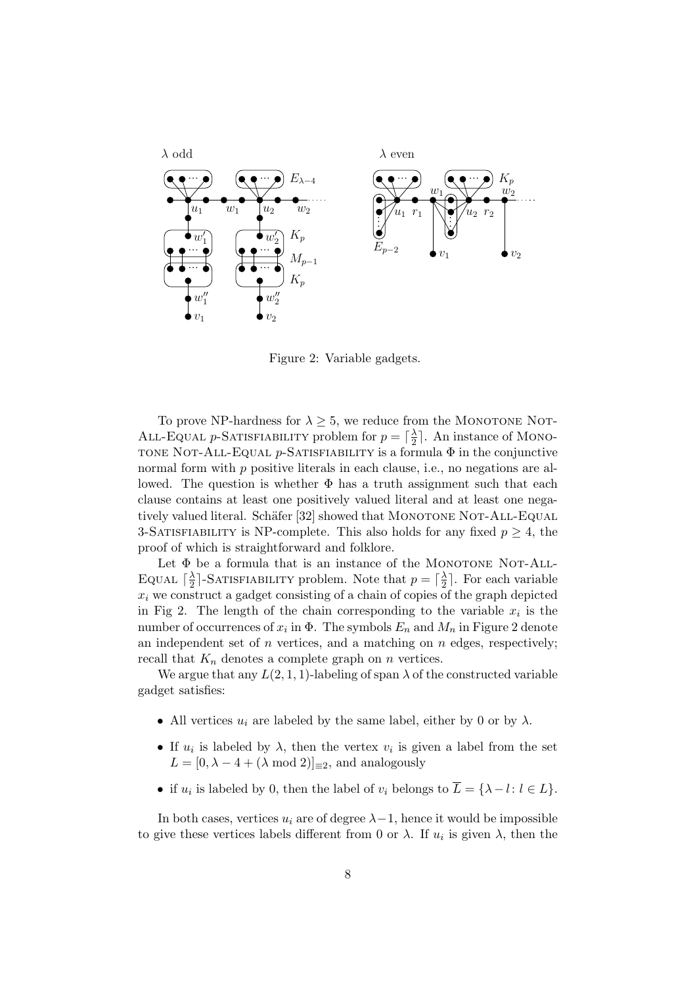

Figure 2: Variable gadgets.

To prove NP-hardness for  $\lambda \geq 5$ , we reduce from the MONOTONE NOT-ALL-EQUAL *p*-SATISFIABILITY problem for  $p = \lceil \frac{\lambda}{2} \rceil$  $\frac{\lambda}{2}$ . An instance of MONO-TONE NOT-ALL-EQUAL  $p$ -SATISFIABILITY is a formula  $\Phi$  in the conjunctive normal form with  $p$  positive literals in each clause, i.e., no negations are allowed. The question is whether  $\Phi$  has a truth assignment such that each clause contains at least one positively valued literal and at least one negatively valued literal. Schäfer [32] showed that MONOTONE NOT-ALL-EQUAL 3-SATISFIABILITY is NP-complete. This also holds for any fixed  $p > 4$ , the proof of which is straightforward and folklore.

Let  $\Phi$  be a formula that is an instance of the MONOTONE NOT-ALL-Equal  $\lceil \frac{\lambda}{2} \rceil$  $\frac{\lambda}{2}$ -Satisfiability problem. Note that  $p = \lceil \frac{\lambda}{2} \rceil$  $\frac{\lambda}{2}$ . For each variable  $x_i$  we construct a gadget consisting of a chain of copies of the graph depicted in Fig 2. The length of the chain corresponding to the variable  $x_i$  is the number of occurrences of  $x_i$  in  $\Phi$ . The symbols  $E_n$  and  $M_n$  in Figure 2 denote an independent set of  $n$  vertices, and a matching on  $n$  edges, respectively; recall that  $K_n$  denotes a complete graph on n vertices.

We argue that any  $L(2,1,1)$ -labeling of span  $\lambda$  of the constructed variable gadget satisfies:

- All vertices  $u_i$  are labeled by the same label, either by 0 or by  $\lambda$ .
- If  $u_i$  is labeled by  $\lambda$ , then the vertex  $v_i$  is given a label from the set  $L = [0, \lambda - 4 + (\lambda \mod 2)]_{\equiv 2}$ , and analogously
- if  $u_i$  is labeled by 0, then the label of  $v_i$  belongs to  $L = {\lambda l : l \in L}$ .

In both cases, vertices  $u_i$  are of degree  $\lambda - 1$ , hence it would be impossible to give these vertices labels different from 0 or  $\lambda$ . If  $u_i$  is given  $\lambda$ , then the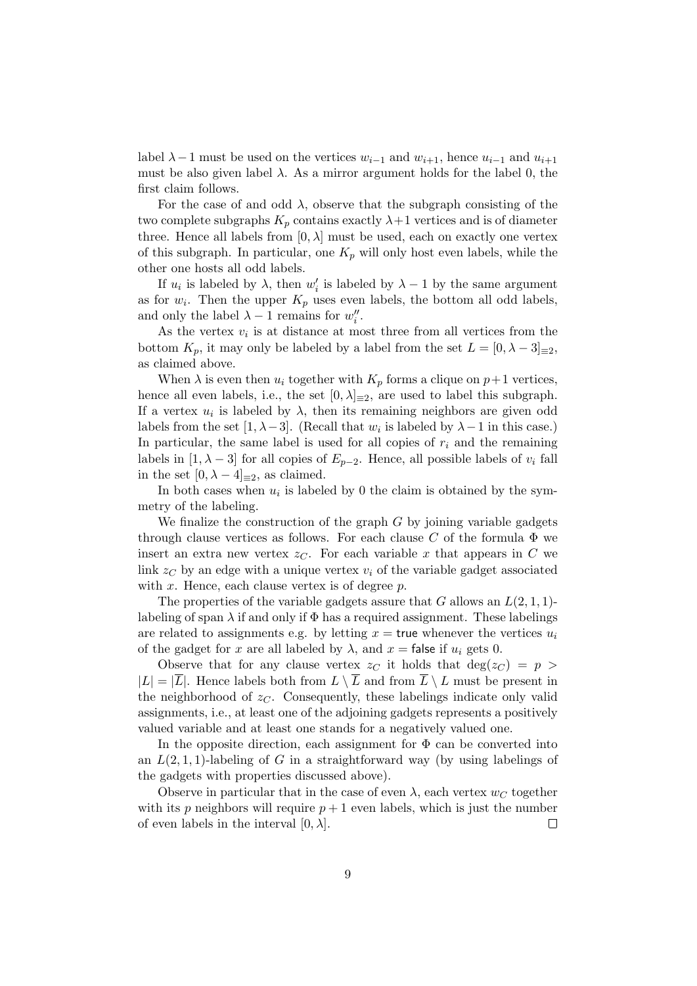label  $\lambda - 1$  must be used on the vertices  $w_{i-1}$  and  $w_{i+1}$ , hence  $u_{i-1}$  and  $u_{i+1}$ must be also given label  $\lambda$ . As a mirror argument holds for the label 0, the first claim follows.

For the case of and odd  $\lambda$ , observe that the subgraph consisting of the two complete subgraphs  $K_p$  contains exactly  $\lambda+1$  vertices and is of diameter three. Hence all labels from  $[0, \lambda]$  must be used, each on exactly one vertex of this subgraph. In particular, one  $K_p$  will only host even labels, while the other one hosts all odd labels.

If  $u_i$  is labeled by  $\lambda$ , then  $w'_i$  is labeled by  $\lambda - 1$  by the same argument as for  $w_i$ . Then the upper  $K_p$  uses even labels, the bottom all odd labels, and only the label  $\lambda - 1$  remains for  $w_i''$ .

As the vertex  $v_i$  is at distance at most three from all vertices from the bottom  $K_p$ , it may only be labeled by a label from the set  $L = [0, \lambda - 3]_{\equiv 2}$ , as claimed above.

When  $\lambda$  is even then  $u_i$  together with  $K_p$  forms a clique on  $p+1$  vertices, hence all even labels, i.e., the set  $[0, \lambda]_{\equiv 2}$ , are used to label this subgraph. If a vertex  $u_i$  is labeled by  $\lambda$ , then its remaining neighbors are given odd labels from the set [1,  $\lambda - 3$ ]. (Recall that  $w_i$  is labeled by  $\lambda - 1$  in this case.) In particular, the same label is used for all copies of  $r_i$  and the remaining labels in  $[1, \lambda - 3]$  for all copies of  $E_{p-2}$ . Hence, all possible labels of  $v_i$  fall in the set  $[0, \lambda - 4] \equiv 2$ , as claimed.

In both cases when  $u_i$  is labeled by 0 the claim is obtained by the symmetry of the labeling.

We finalize the construction of the graph  $G$  by joining variable gadgets through clause vertices as follows. For each clause C of the formula  $\Phi$  we insert an extra new vertex  $z_C$ . For each variable x that appears in C we link  $z<sub>C</sub>$  by an edge with a unique vertex  $v<sub>i</sub>$  of the variable gadget associated with  $x$ . Hence, each clause vertex is of degree  $p$ .

The properties of the variable gadgets assure that G allows an  $L(2,1,1)$ labeling of span  $\lambda$  if and only if  $\Phi$  has a required assignment. These labelings are related to assignments e.g. by letting  $x =$  true whenever the vertices  $u_i$ of the gadget for x are all labeled by  $\lambda$ , and  $x =$  false if  $u_i$  gets 0.

Observe that for any clause vertex  $z_C$  it holds that  $\deg(z_C) = p >$  $|L| = |\overline{L}|$ . Hence labels both from  $L \setminus \overline{L}$  and from  $\overline{L} \setminus L$  must be present in the neighborhood of  $z<sub>C</sub>$ . Consequently, these labelings indicate only valid assignments, i.e., at least one of the adjoining gadgets represents a positively valued variable and at least one stands for a negatively valued one.

In the opposite direction, each assignment for  $\Phi$  can be converted into an  $L(2,1,1)$ -labeling of G in a straightforward way (by using labelings of the gadgets with properties discussed above).

Observe in particular that in the case of even  $\lambda$ , each vertex  $w_C$  together with its p neighbors will require  $p + 1$  even labels, which is just the number of even labels in the interval  $[0, \lambda]$ .  $\Box$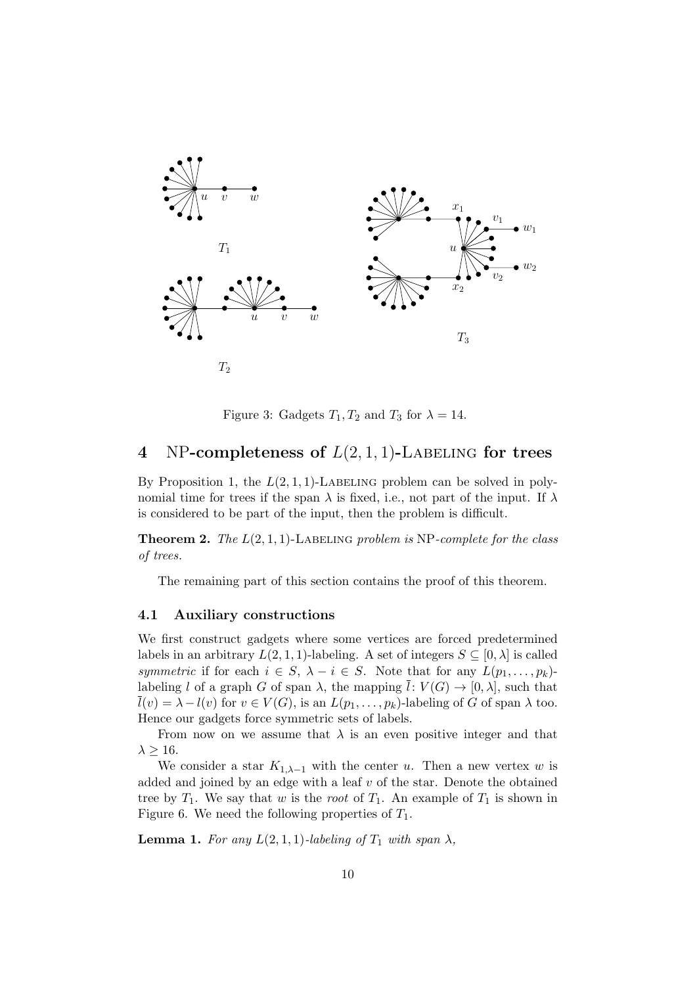

Figure 3: Gadgets  $T_1, T_2$  and  $T_3$  for  $\lambda = 14$ .

## 4 NP-completeness of  $L(2,1,1)$ -LABELING for trees

By Proposition 1, the  $L(2,1,1)$ -Labeling problem can be solved in polynomial time for trees if the span  $\lambda$  is fixed, i.e., not part of the input. If  $\lambda$ is considered to be part of the input, then the problem is difficult.

**Theorem 2.** The  $L(2,1,1)$ -LABELING problem is NP-complete for the class of trees.

The remaining part of this section contains the proof of this theorem.

#### 4.1 Auxiliary constructions

We first construct gadgets where some vertices are forced predetermined labels in an arbitrary  $L(2,1,1)$ -labeling. A set of integers  $S \subseteq [0,\lambda]$  is called symmetric if for each  $i \in S$ ,  $\lambda - i \in S$ . Note that for any  $L(p_1, \ldots, p_k)$ labeling l of a graph G of span  $\lambda$ , the mapping  $\overline{l}: V(G) \to [0, \lambda]$ , such that  $\overline{l}(v) = \lambda - l(v)$  for  $v \in V(G)$ , is an  $L(p_1, \ldots, p_k)$ -labeling of G of span  $\lambda$  too. Hence our gadgets force symmetric sets of labels.

From now on we assume that  $\lambda$  is an even positive integer and that  $\lambda > 16$ .

We consider a star  $K_{1,\lambda-1}$  with the center u. Then a new vertex w is added and joined by an edge with a leaf  $v$  of the star. Denote the obtained tree by  $T_1$ . We say that w is the *root* of  $T_1$ . An example of  $T_1$  is shown in Figure 6. We need the following properties of  $T_1$ .

**Lemma 1.** For any  $L(2,1,1)$ -labeling of  $T_1$  with span  $\lambda$ ,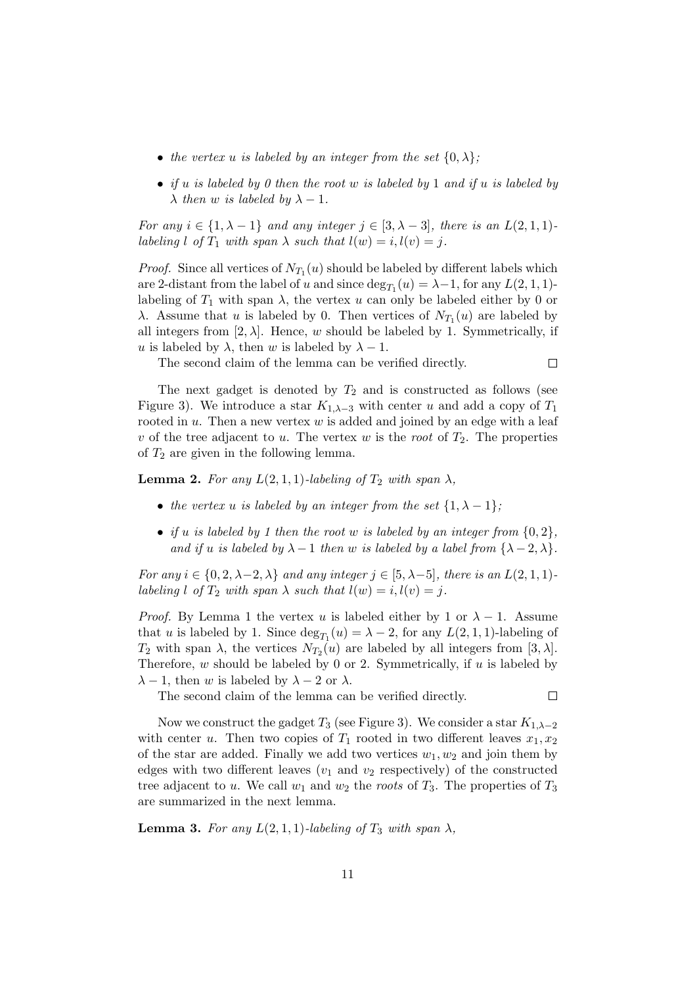- the vertex u is labeled by an integer from the set  $\{0, \lambda\}$ ;
- if u is labeled by 0 then the root w is labeled by 1 and if u is labeled by  $\lambda$  then w is labeled by  $\lambda - 1$ .

For any  $i \in \{1, \lambda - 1\}$  and any integer  $j \in [3, \lambda - 3]$ , there is an  $L(2, 1, 1)$ labeling l of  $T_1$  with span  $\lambda$  such that  $l(w) = i, l(v) = j$ .

*Proof.* Since all vertices of  $N_{T_1}(u)$  should be labeled by different labels which are 2-distant from the label of u and since  $\deg_{T_1}(u) = \lambda - 1$ , for any  $L(2, 1, 1)$ labeling of  $T_1$  with span  $\lambda$ , the vertex u can only be labeled either by 0 or λ. Assume that *u* is labeled by 0. Then vertices of  $N_{T_1}(u)$  are labeled by all integers from [2,  $\lambda$ ]. Hence, w should be labeled by 1. Symmetrically, if u is labeled by  $\lambda$ , then w is labeled by  $\lambda - 1$ .

The second claim of the lemma can be verified directly.

The next gadget is denoted by  $T_2$  and is constructed as follows (see Figure 3). We introduce a star  $K_{1,\lambda-3}$  with center u and add a copy of  $T_1$ rooted in  $u$ . Then a new vertex  $w$  is added and joined by an edge with a leaf v of the tree adjacent to u. The vertex w is the root of  $T_2$ . The properties of  $T_2$  are given in the following lemma.

 $\Box$ 

 $\Box$ 

**Lemma 2.** For any  $L(2,1,1)$ -labeling of  $T_2$  with span  $\lambda$ ,

- the vertex u is labeled by an integer from the set  $\{1, \lambda 1\}$ ;
- if u is labeled by 1 then the root w is labeled by an integer from  $\{0, 2\}$ . and if u is labeled by  $\lambda - 1$  then w is labeled by a label from  $\{\lambda - 2, \lambda\}.$

For any  $i \in \{0, 2, \lambda-2, \lambda\}$  and any integer  $j \in [5, \lambda-5]$ , there is an  $L(2,1,1)$ labeling l of  $T_2$  with span  $\lambda$  such that  $l(w) = i, l(v) = j$ .

*Proof.* By Lemma 1 the vertex u is labeled either by 1 or  $\lambda - 1$ . Assume that u is labeled by 1. Since  $\deg_{T_1}(u) = \lambda - 2$ , for any  $L(2,1,1)$ -labeling of  $T_2$  with span  $\lambda$ , the vertices  $N_{T_2}(u)$  are labeled by all integers from [3,  $\lambda$ ]. Therefore,  $w$  should be labeled by 0 or 2. Symmetrically, if  $u$  is labeled by  $\lambda - 1$ , then w is labeled by  $\lambda - 2$  or  $\lambda$ .

The second claim of the lemma can be verified directly.

Now we construct the gadget  $T_3$  (see Figure 3). We consider a star  $K_{1,\lambda-2}$ with center u. Then two copies of  $T_1$  rooted in two different leaves  $x_1, x_2$ of the star are added. Finally we add two vertices  $w_1, w_2$  and join them by edges with two different leaves  $(v_1 \text{ and } v_2 \text{ respectively})$  of the constructed tree adjacent to u. We call  $w_1$  and  $w_2$  the roots of  $T_3$ . The properties of  $T_3$ are summarized in the next lemma.

**Lemma 3.** For any  $L(2,1,1)$ -labeling of  $T_3$  with span  $\lambda$ ,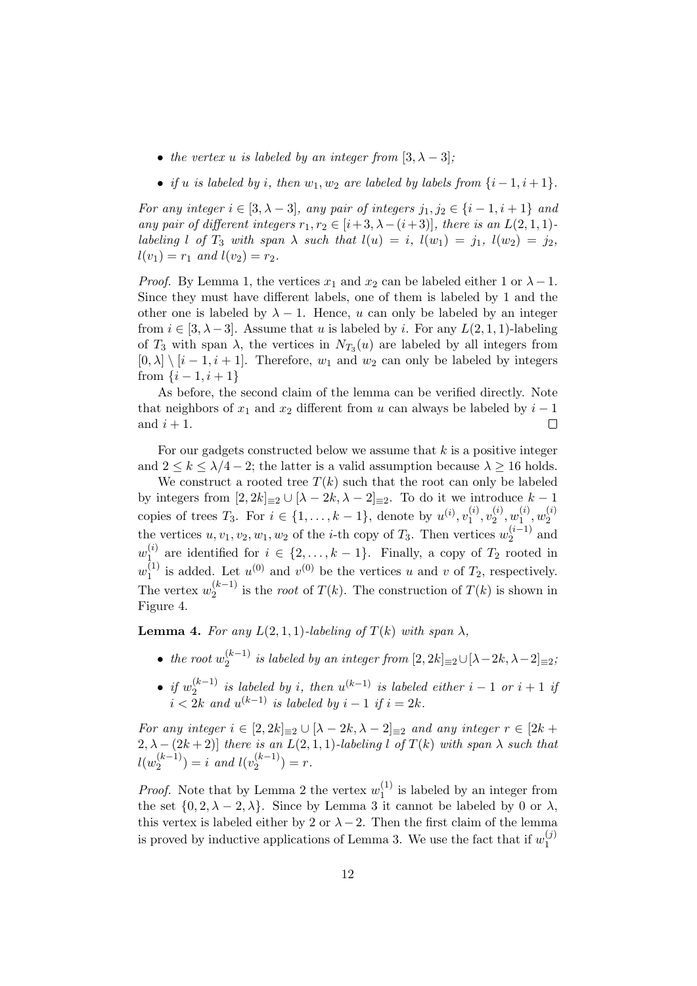- the vertex u is labeled by an integer from  $[3, \lambda 3]$ ;
- if u is labeled by i, then  $w_1, w_2$  are labeled by labels from  $\{i-1, i+1\}$ .

For any integer  $i \in [3, \lambda - 3]$ , any pair of integers  $j_1, j_2 \in \{i - 1, i + 1\}$  and any pair of different integers  $r_1, r_2 \in [i+3, \lambda-(i+3)]$ , there is an  $L(2,1,1)$ labeling l of  $T_3$  with span  $\lambda$  such that  $l(u) = i$ ,  $l(w_1) = j_1$ ,  $l(w_2) = j_2$ ,  $l(v_1) = r_1$  and  $l(v_2) = r_2$ .

*Proof.* By Lemma 1, the vertices  $x_1$  and  $x_2$  can be labeled either 1 or  $\lambda - 1$ . Since they must have different labels, one of them is labeled by 1 and the other one is labeled by  $\lambda - 1$ . Hence, u can only be labeled by an integer from  $i \in [3, \lambda - 3]$ . Assume that u is labeled by i. For any  $L(2, 1, 1)$ -labeling of  $T_3$  with span  $\lambda$ , the vertices in  $N_{T_3}(u)$  are labeled by all integers from  $[0, \lambda] \setminus [i-1, i+1]$ . Therefore,  $w_1$  and  $w_2$  can only be labeled by integers from  $\{i-1, i+1\}$ 

As before, the second claim of the lemma can be verified directly. Note that neighbors of  $x_1$  and  $x_2$  different from u can always be labeled by  $i - 1$  and  $i + 1$ . and  $i + 1$ .

For our gadgets constructed below we assume that  $k$  is a positive integer and  $2 \leq k \leq \lambda/4 - 2$ ; the latter is a valid assumption because  $\lambda \geq 16$  holds.

We construct a rooted tree  $T(k)$  such that the root can only be labeled by integers from  $[2, 2k]_{\equiv 2} \cup [\lambda - 2k, \lambda - 2]_{\equiv 2}$ . To do it we introduce  $k - 1$ copies of trees  $T_3$ . For  $i \in \{1, \ldots, k-1\}$ , denote by  $u^{(i)}$ ,  $v_1^{(i)}$  $v_1^{(i)}, v_2^{(i)}$  $\hat{u}_2^{(i)},w_1^{(i)}$  $\mathbf{u}_1^{(i)}, w_2^{(i)}$ 2 the vertices  $u, v_1, v_2, w_1, w_2$  of the *i*-th copy of  $T_3$ . Then vertices  $w_2^{(i-1)}$  and  $w_1^{(i)}$  $\mathcal{I}_{1}^{(i)}$  are identified for  $i \in \{2, \ldots, k-1\}$ . Finally, a copy of  $T_2$  rooted in  $w_1^{(1)}$  $\mathcal{L}_1^{(1)}$  is added. Let  $u^{(0)}$  and  $v^{(0)}$  be the vertices u and v of  $T_2$ , respectively. The vertex  $w_2^{(k-1)}$  is the *root* of  $T(k)$ . The construction of  $T(k)$  is shown in Figure 4.

**Lemma 4.** For any  $L(2,1,1)$ -labeling of  $T(k)$  with span  $\lambda$ ,

- the root  $w_2^{(k-1)}$  is labeled by an integer from  $[2, 2k]_{\equiv 2} \cup [\lambda 2k, \lambda 2]_{\equiv 2}$ ;
- if  $w_2^{(k-1)}$  is labeled by i, then  $u^{(k-1)}$  is labeled either  $i-1$  or  $i+1$  if  $i < 2k$  and  $u^{(k-1)}$  is labeled by  $i-1$  if  $i = 2k$ .

For any integer  $i \in [2, 2k]_{\equiv 2} \cup [\lambda - 2k, \lambda - 2]_{\equiv 2}$  and any integer  $r \in [2k + 1]$  $[2, \lambda - (2k+2)]$  there is an  $L(2,1,1)$ -labeling l of  $T(k)$  with span  $\lambda$  such that  $l(w_2^{(k-1)}) = i$  and  $l(v_2^{(k-1)}) = r$ .

*Proof.* Note that by Lemma 2 the vertex  $w_1^{(1)}$  $i_1^{(1)}$  is labeled by an integer from the set  $\{0, 2, \lambda - 2, \lambda\}$ . Since by Lemma 3 it cannot be labeled by 0 or  $\lambda$ , this vertex is labeled either by 2 or  $\lambda - 2$ . Then the first claim of the lemma is proved by inductive applications of Lemma 3. We use the fact that if  $w_1^{(j)}$ 1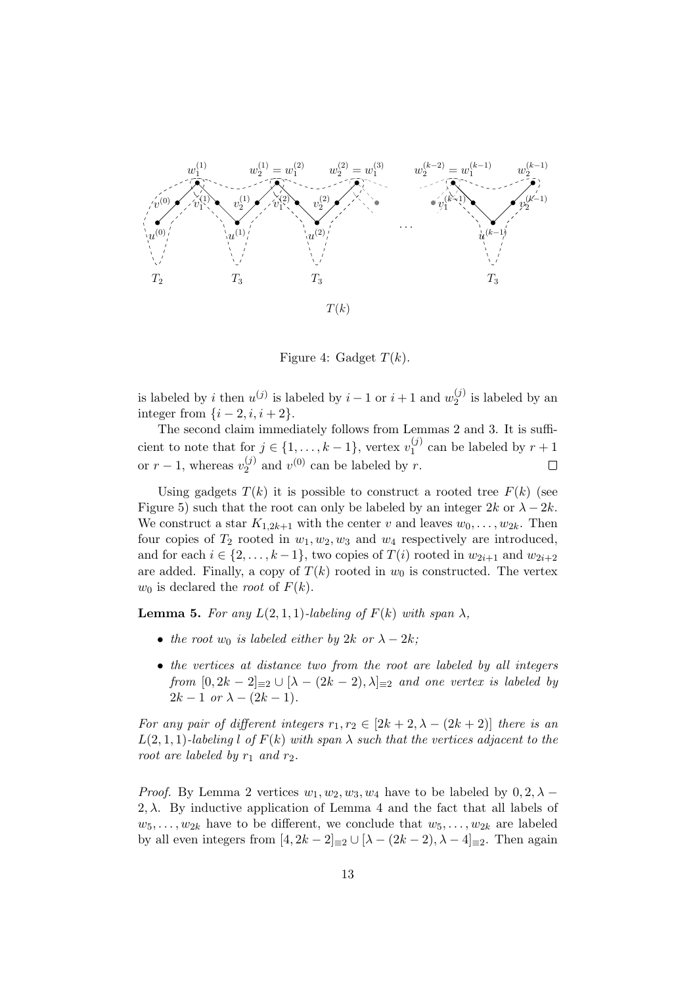

Figure 4: Gadget  $T(k)$ .

is labeled by i then  $u^{(j)}$  is labeled by  $i-1$  or  $i+1$  and  $w_2^{(j)}$  $a_2^{(j)}$  is labeled by an integer from  $\{i-2, i, i+2\}.$ 

The second claim immediately follows from Lemmas 2 and 3. It is sufficient to note that for  $j \in \{1, \ldots, k-1\}$ , vertex  $v_1^{(j)}$  $_1^{(J)}$  can be labeled by  $r+1$ or  $r-1$ , whereas  $v_2^{(j)}$  $v^{(j)}$  and  $v^{(0)}$  can be labeled by r.

Using gadgets  $T(k)$  it is possible to construct a rooted tree  $F(k)$  (see Figure 5) such that the root can only be labeled by an integer 2k or  $\lambda - 2k$ . We construct a star  $K_{1,2k+1}$  with the center v and leaves  $w_0, \ldots, w_{2k}$ . Then four copies of  $T_2$  rooted in  $w_1, w_2, w_3$  and  $w_4$  respectively are introduced, and for each  $i \in \{2, \ldots, k-1\}$ , two copies of  $T(i)$  rooted in  $w_{2i+1}$  and  $w_{2i+2}$ are added. Finally, a copy of  $T(k)$  rooted in  $w_0$  is constructed. The vertex  $w_0$  is declared the *root* of  $F(k)$ .

**Lemma 5.** For any  $L(2,1,1)$ -labeling of  $F(k)$  with span  $\lambda$ ,

- the root  $w_0$  is labeled either by 2k or  $\lambda 2k$ ;
- the vertices at distance two from the root are labeled by all integers from  $[0, 2k - 2]_{\equiv 2} \cup [\lambda - (2k - 2), \lambda]_{\equiv 2}$  and one vertex is labeled by  $2k - 1$  or  $\lambda - (2k - 1)$ .

For any pair of different integers  $r_1, r_2 \in [2k+2, \lambda - (2k+2)]$  there is an  $L(2,1,1)$ -labeling l of  $F(k)$  with span  $\lambda$  such that the vertices adjacent to the root are labeled by  $r_1$  and  $r_2$ .

*Proof.* By Lemma 2 vertices  $w_1, w_2, w_3, w_4$  have to be labeled by  $0, 2, \lambda$  – 2,  $\lambda$ . By inductive application of Lemma 4 and the fact that all labels of  $w_5, \ldots, w_{2k}$  have to be different, we conclude that  $w_5, \ldots, w_{2k}$  are labeled by all even integers from  $[4, 2k-2]_{\equiv 2} \cup [\lambda-(2k-2), \lambda-4]_{\equiv 2}$ . Then again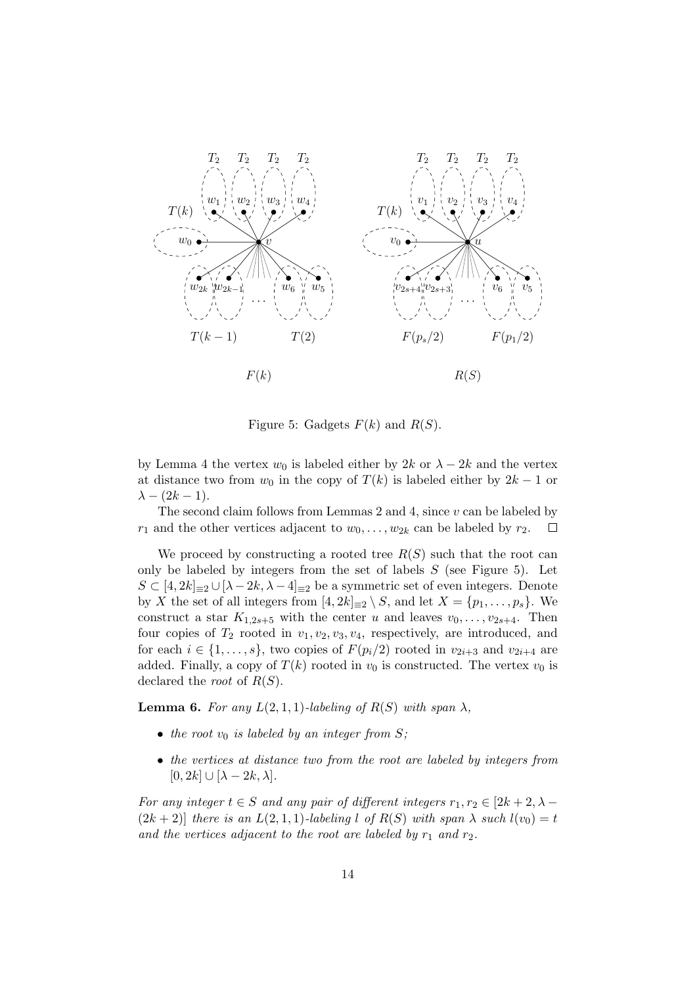

Figure 5: Gadgets  $F(k)$  and  $R(S)$ .

by Lemma 4 the vertex  $w_0$  is labeled either by 2k or  $\lambda - 2k$  and the vertex at distance two from  $w_0$  in the copy of  $T(k)$  is labeled either by  $2k-1$  or  $\lambda - (2k-1).$ 

The second claim follows from Lemmas 2 and 4, since  $v$  can be labeled by  $r_1$  and the other vertices adjacent to  $w_0, \ldots, w_{2k}$  can be labeled by  $r_2$ .  $\Box$ 

We proceed by constructing a rooted tree  $R(S)$  such that the root can only be labeled by integers from the set of labels  $S$  (see Figure 5). Let  $S \subset [4, 2k]_{\equiv 2} \cup [\lambda - 2k, \lambda - 4]_{\equiv 2}$  be a symmetric set of even integers. Denote by X the set of all integers from  $[4, 2k] \equiv 2 \setminus S$ , and let  $X = \{p_1, \ldots, p_s\}$ . We construct a star  $K_{1,2s+5}$  with the center u and leaves  $v_0, \ldots, v_{2s+4}$ . Then four copies of  $T_2$  rooted in  $v_1, v_2, v_3, v_4$ , respectively, are introduced, and for each  $i \in \{1, \ldots, s\}$ , two copies of  $F(p_i/2)$  rooted in  $v_{2i+3}$  and  $v_{2i+4}$  are added. Finally, a copy of  $T(k)$  rooted in  $v_0$  is constructed. The vertex  $v_0$  is declared the *root* of  $R(S)$ .

**Lemma 6.** For any  $L(2,1,1)$ -labeling of  $R(S)$  with span  $\lambda$ ,

- the root  $v_0$  is labeled by an integer from  $S$ ;
- the vertices at distance two from the root are labeled by integers from  $[0, 2k] \cup [\lambda - 2k, \lambda].$

For any integer  $t \in S$  and any pair of different integers  $r_1, r_2 \in [2k + 2, \lambda (2k+2)$ ] there is an  $L(2,1,1)$ -labeling l of  $R(S)$  with span  $\lambda$  such  $l(v_0) = t$ and the vertices adjacent to the root are labeled by  $r_1$  and  $r_2$ .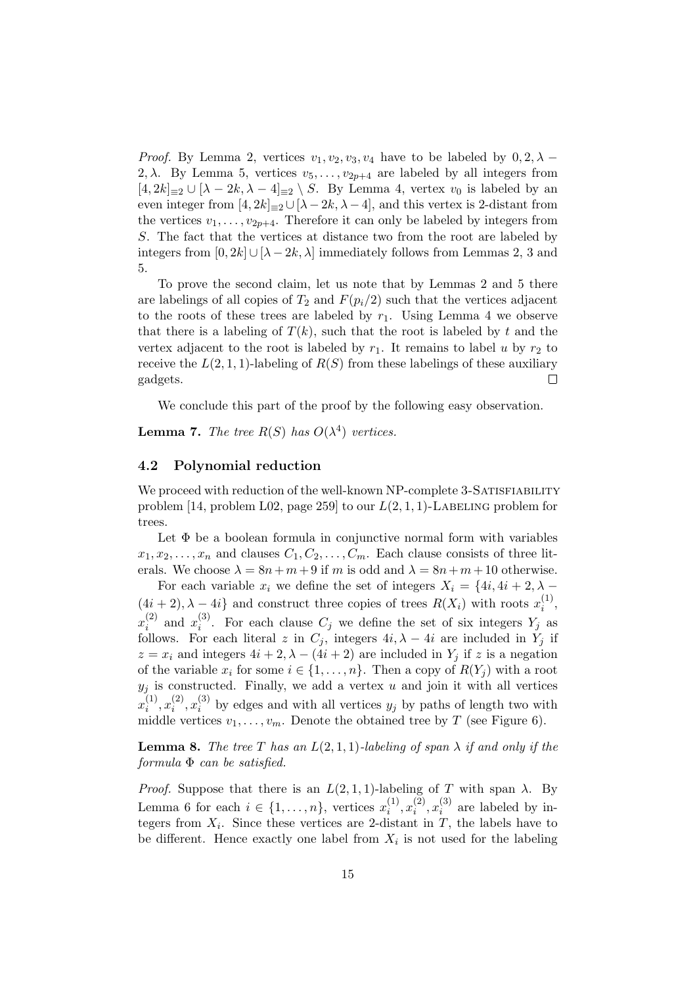*Proof.* By Lemma 2, vertices  $v_1, v_2, v_3, v_4$  have to be labeled by  $0, 2, \lambda$  – 2,  $\lambda$ . By Lemma 5, vertices  $v_5, \ldots, v_{2n+4}$  are labeled by all integers from  $[4, 2k]_{\equiv 2} \cup [\lambda - 2k, \lambda - 4]_{\equiv 2} \setminus S$ . By Lemma 4, vertex  $v_0$  is labeled by an even integer from  $[4, 2k]_{\equiv 2} \cup [\lambda - 2k, \lambda - 4]$ , and this vertex is 2-distant from the vertices  $v_1, \ldots, v_{2p+4}$ . Therefore it can only be labeled by integers from S. The fact that the vertices at distance two from the root are labeled by integers from  $[0, 2k] \cup [\lambda - 2k, \lambda]$  immediately follows from Lemmas 2, 3 and 5.

To prove the second claim, let us note that by Lemmas 2 and 5 there are labelings of all copies of  $T_2$  and  $F(p_i/2)$  such that the vertices adjacent to the roots of these trees are labeled by  $r_1$ . Using Lemma 4 we observe that there is a labeling of  $T(k)$ , such that the root is labeled by t and the vertex adjacent to the root is labeled by  $r_1$ . It remains to label u by  $r_2$  to receive the  $L(2,1,1)$ -labeling of  $R(S)$  from these labelings of these auxiliary gadgets.  $\Box$ 

We conclude this part of the proof by the following easy observation.

**Lemma 7.** The tree  $R(S)$  has  $O(\lambda^4)$  vertices.

#### 4.2 Polynomial reduction

We proceed with reduction of the well-known NP-complete 3-SATISFIABILITY problem [14, problem L02, page 259] to our  $L(2,1,1)$ -LABELING problem for trees.

Let  $\Phi$  be a boolean formula in conjunctive normal form with variables  $x_1, x_2, \ldots, x_n$  and clauses  $C_1, C_2, \ldots, C_m$ . Each clause consists of three literals. We choose  $\lambda = 8n + m + 9$  if m is odd and  $\lambda = 8n + m + 10$  otherwise.

For each variable  $x_i$  we define the set of integers  $X_i = \{4i, 4i + 2, \lambda - \}$  $(4i+2), \lambda - 4i$  and construct three copies of trees  $R(X_i)$  with roots  $x_i^{(1)}$  $\binom{1}{i}$  $x_i^{(2)}$  $i^{(2)}$  and  $x_i^{(3)}$  $i<sup>(3)</sup>$ . For each clause  $C_j$  we define the set of six integers  $Y_j$  as follows. For each literal z in  $C_i$ , integers  $4i, \lambda - 4i$  are included in  $Y_i$  if  $z = x_i$  and integers  $4i + 2$ ,  $\lambda - (4i + 2)$  are included in  $Y_j$  if z is a negation of the variable  $x_i$  for some  $i \in \{1, \ldots, n\}$ . Then a copy of  $R(Y_j)$  with a root  $y_j$  is constructed. Finally, we add a vertex u and join it with all vertices  $x_i^{(1)}$  $\binom{1}{i}, x_i^{(2)}$  $\binom{2}{i}, x_i^{(3)}$  $i_j^{(5)}$  by edges and with all vertices  $y_j$  by paths of length two with middle vertices  $v_1, \ldots, v_m$ . Denote the obtained tree by T (see Figure 6).

**Lemma 8.** The tree T has an  $L(2,1,1)$ -labeling of span  $\lambda$  if and only if the  $formula \Phi can be satisfied.$ 

*Proof.* Suppose that there is an  $L(2,1,1)$ -labeling of T with span  $\lambda$ . By Lemma 6 for each  $i \in \{1, \ldots, n\}$ , vertices  $x_i^{(1)}$  $\binom{1}{i}, x_i^{(2)}$  $\binom{2}{i}, x_i^{(3)}$  $i^{(5)}$  are labeled by integers from  $X_i$ . Since these vertices are 2-distant in  $T$ , the labels have to be different. Hence exactly one label from  $X_i$  is not used for the labeling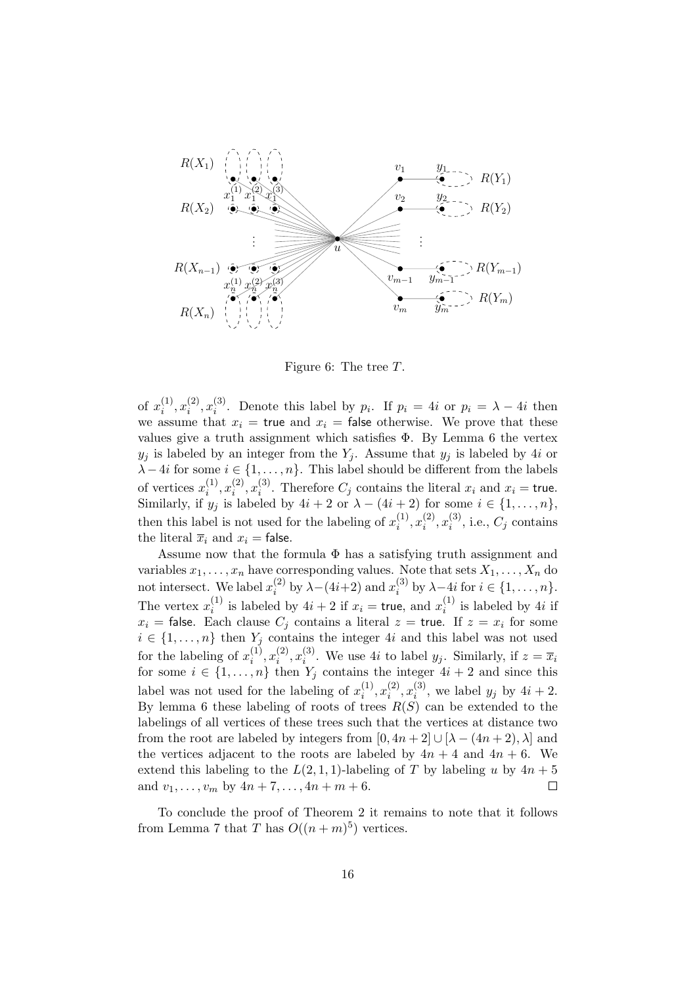

Figure 6: The tree T.

of  $x_i^{(1)}$  $\binom{1}{i}, x_i^{(2)}$  $\binom{2}{i}, x_i^{(3)}$ <sup>(3)</sup>. Denote this label by  $p_i$ . If  $p_i = 4i$  or  $p_i = \lambda - 4i$  then we assume that  $x_i = \text{true}$  and  $x_i = \text{false}$  otherwise. We prove that these values give a truth assignment which satisfies Φ. By Lemma 6 the vertex  $y_j$  is labeled by an integer from the  $Y_j$ . Assume that  $y_j$  is labeled by 4i or  $\lambda-4i$  for some  $i \in \{1, \ldots, n\}$ . This label should be different from the labels of vertices  $x_i^{(1)}$  $\binom{1}{i}, x_i^{(2)}$  $\binom{2}{i}, x_i^{(3)}$  $i^{(5)}$ . Therefore  $C_j$  contains the literal  $x_i$  and  $x_i =$  true. Similarly, if  $y_j$  is labeled by  $4i + 2$  or  $\lambda - (4i + 2)$  for some  $i \in \{1, \ldots, n\}$ , then this label is not used for the labeling of  $x_i^{(1)}$  $\binom{1}{i}, x_i^{(2)}$  $\binom{2}{i}, x_i^{(3)}$  $i^{(5)}$ , i.e.,  $C_j$  contains the literal  $\overline{x}_i$  and  $x_i$  = false.

Assume now that the formula  $\Phi$  has a satisfying truth assignment and variables  $x_1, \ldots, x_n$  have corresponding values. Note that sets  $X_1, \ldots, X_n$  do not intersect. We label  $x_i^{(2)}$  $i^{(2)}$  by  $\lambda - (4i+2)$  and  $x_i^{(3)}$  $\lambda^{-4i}$  for  $i \in \{1, \ldots, n\}.$ The vertex  $x_i^{(1)}$  $i_i^{(1)}$  is labeled by  $4i + 2$  if  $x_i =$  true, and  $x_i^{(1)}$  $i^{(1)}$  is labeled by 4*i* if  $x_i$  = false. Each clause  $C_j$  contains a literal  $z =$  true. If  $z = x_i$  for some  $i \in \{1, \ldots, n\}$  then  $Y_j$  contains the integer 4i and this label was not used for the labeling of  $x_i^{(1)}$  $\binom{1}{i}, x_i^{(2)}$  $\binom{(2)}{i}, x_i^{(3)}$ <sup>(3)</sup>. We use 4*i* to label *y<sub>j</sub>*. Similarly, if  $z = \overline{x}_i$ for some  $i \in \{1, \ldots, n\}$  then  $Y_j$  contains the integer  $4i + 2$  and since this label was not used for the labeling of  $x_i^{(1)}$  $\binom{1}{i}, x_i^{(2)}$  $\binom{(2)}{i}, x_{i}^{(3)}$  $i^{(3)}$ , we label  $y_j$  by  $4i + 2$ . By lemma 6 these labeling of roots of trees  $R(S)$  can be extended to the labelings of all vertices of these trees such that the vertices at distance two from the root are labeled by integers from  $[0, 4n + 2] \cup [\lambda - (4n + 2), \lambda]$  and the vertices adjacent to the roots are labeled by  $4n + 4$  and  $4n + 6$ . We extend this labeling to the  $L(2,1,1)$ -labeling of T by labeling u by  $4n + 5$ and  $v_1, \ldots, v_m$  by  $4n + 7, \ldots, 4n + m + 6$ .  $\Box$ 

To conclude the proof of Theorem 2 it remains to note that it follows from Lemma 7 that T has  $O((n+m)^5)$  vertices.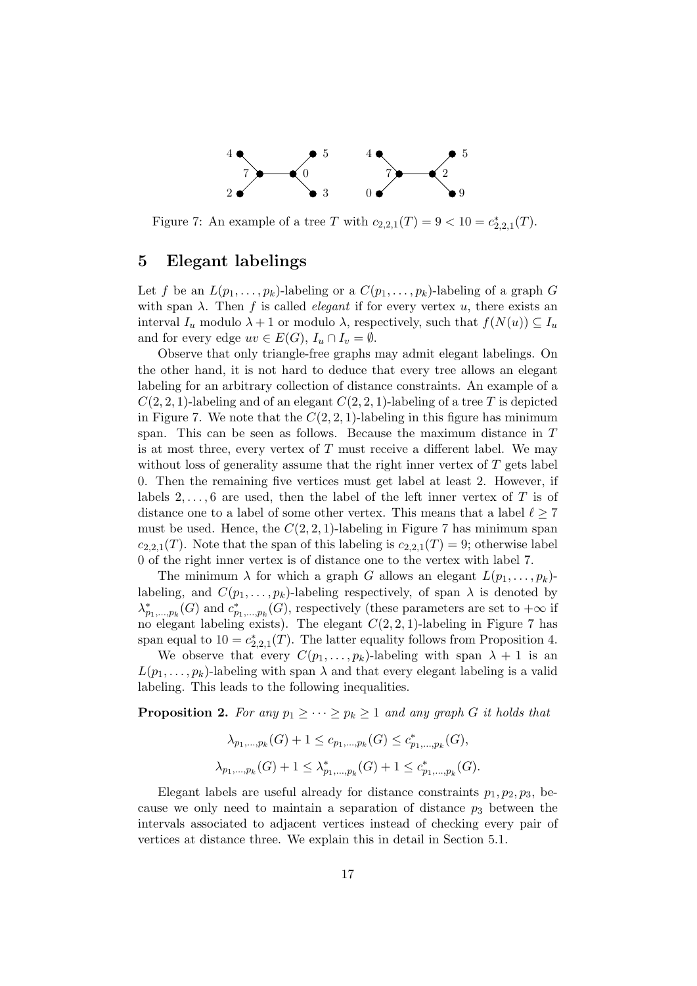

Figure 7: An example of a tree T with  $c_{2,2,1}(T) = 9 < 10 = c_{2,2,1}^*(T)$ .

## 5 Elegant labelings

Let f be an  $L(p_1, \ldots, p_k)$ -labeling or a  $C(p_1, \ldots, p_k)$ -labeling of a graph G with span  $\lambda$ . Then f is called *elegant* if for every vertex u, there exists an interval  $I_u$  modulo  $\lambda + 1$  or modulo  $\lambda$ , respectively, such that  $f(N(u)) \subseteq I_u$ and for every edge  $uv \in E(G)$ ,  $I_u \cap I_v = \emptyset$ .

Observe that only triangle-free graphs may admit elegant labelings. On the other hand, it is not hard to deduce that every tree allows an elegant labeling for an arbitrary collection of distance constraints. An example of a  $C(2, 2, 1)$ -labeling and of an elegant  $C(2, 2, 1)$ -labeling of a tree T is depicted in Figure 7. We note that the  $C(2, 2, 1)$ -labeling in this figure has minimum span. This can be seen as follows. Because the maximum distance in T is at most three, every vertex of  $T$  must receive a different label. We may without loss of generality assume that the right inner vertex of  $T$  gets label 0. Then the remaining five vertices must get label at least 2. However, if labels  $2, \ldots, 6$  are used, then the label of the left inner vertex of T is of distance one to a label of some other vertex. This means that a label  $\ell \geq 7$ must be used. Hence, the  $C(2, 2, 1)$ -labeling in Figure 7 has minimum span  $c_{2,2,1}(T)$ . Note that the span of this labeling is  $c_{2,2,1}(T) = 9$ ; otherwise label 0 of the right inner vertex is of distance one to the vertex with label 7.

The minimum  $\lambda$  for which a graph G allows an elegant  $L(p_1, \ldots, p_k)$ labeling, and  $C(p_1, \ldots, p_k)$ -labeling respectively, of span  $\lambda$  is denoted by  $\lambda^*_{p_1,\dots,p_k}(G)$  and  $c^*_{p_1,\dots,p_k}(G)$ , respectively (these parameters are set to  $+\infty$  if no elegant labeling exists). The elegant  $C(2, 2, 1)$ -labeling in Figure 7 has span equal to  $10 = c_{2,2,1}^*(T)$ . The latter equality follows from Proposition 4.

We observe that every  $C(p_1, \ldots, p_k)$ -labeling with span  $\lambda + 1$  is an  $L(p_1, \ldots, p_k)$ -labeling with span  $\lambda$  and that every elegant labeling is a valid labeling. This leads to the following inequalities.

**Proposition 2.** For any  $p_1 \geq \cdots \geq p_k \geq 1$  and any graph G it holds that

$$
\lambda_{p_1,\dots,p_k}(G) + 1 \le c_{p_1,\dots,p_k}(G) \le c_{p_1,\dots,p_k}^*(G),
$$
  

$$
\lambda_{p_1,\dots,p_k}(G) + 1 \le \lambda_{p_1,\dots,p_k}^*(G) + 1 \le c_{p_1,\dots,p_k}^*(G).
$$

Elegant labels are useful already for distance constraints  $p_1, p_2, p_3$ , because we only need to maintain a separation of distance  $p_3$  between the intervals associated to adjacent vertices instead of checking every pair of vertices at distance three. We explain this in detail in Section 5.1.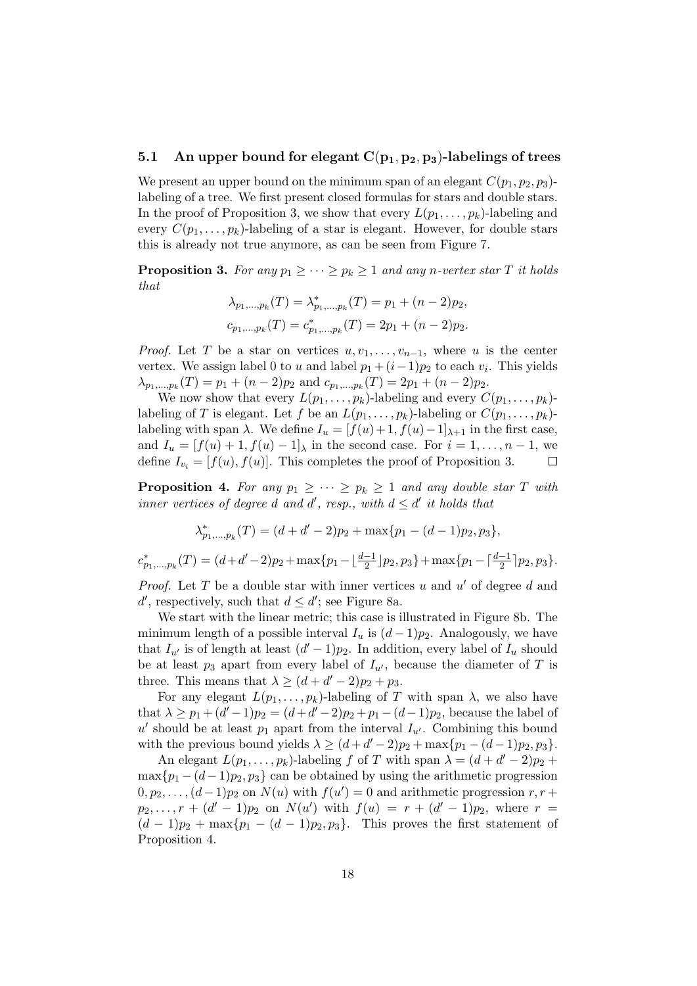#### 5.1 An upper bound for elegant  $C(p_1, p_2, p_3)$ -labelings of trees

We present an upper bound on the minimum span of an elegant  $C(p_1, p_2, p_3)$ labeling of a tree. We first present closed formulas for stars and double stars. In the proof of Proposition 3, we show that every  $L(p_1, \ldots, p_k)$ -labeling and every  $C(p_1, \ldots, p_k)$ -labeling of a star is elegant. However, for double stars this is already not true anymore, as can be seen from Figure 7.

**Proposition 3.** For any  $p_1 \geq \cdots \geq p_k \geq 1$  and any n-vertex star T it holds that

$$
\lambda_{p_1,\dots,p_k}(T) = \lambda_{p_1,\dots,p_k}^*(T) = p_1 + (n-2)p_2,
$$
  

$$
c_{p_1,\dots,p_k}(T) = c_{p_1,\dots,p_k}^*(T) = 2p_1 + (n-2)p_2.
$$

*Proof.* Let T be a star on vertices  $u, v_1, \ldots, v_{n-1}$ , where u is the center vertex. We assign label 0 to u and label  $p_1 + (i-1)p_2$  to each  $v_i$ . This yields  $\lambda_{p_1,\dots,p_k}(T) = p_1 + (n-2)p_2$  and  $c_{p_1,\dots,p_k}(T) = 2p_1 + (n-2)p_2$ .

We now show that every  $L(p_1, \ldots, p_k)$ -labeling and every  $C(p_1, \ldots, p_k)$ labeling of T is elegant. Let f be an  $L(p_1, \ldots, p_k)$ -labeling or  $C(p_1, \ldots, p_k)$ labeling with span  $\lambda$ . We define  $I_u = [f(u)+1, f(u)-1]_{\lambda+1}$  in the first case, and  $I_u = [f(u) + 1, f(u) - 1]_\lambda$  in the second case. For  $i = 1, ..., n - 1$ , we define  $I_v = [f(u), f(u)]$ . This completes the proof of Proposition 3. define  $I_{v_i} = [f(u), f(u)]$ . This completes the proof of Proposition 3.

**Proposition 4.** For any  $p_1 \geq \cdots \geq p_k \geq 1$  and any double star T with inner vertices of degree d and d', resp., with  $d \leq d'$  it holds that

$$
\lambda_{p_1,\dots,p_k}^*(T) = (d+d'-2)p_2 + \max\{p_1 - (d-1)p_2, p_3\},\
$$

 $c_{p_1,\dots,p_k}^*(T) = (d+d'-2)p_2 + \max\{p_1 - \lfloor \frac{d-1}{2} \rfloor p_2, p_3\} + \max\{p_1 - \lceil \frac{d-1}{2} \rceil p_2, p_3\}.$ 

*Proof.* Let T be a double star with inner vertices u and  $u'$  of degree d and  $d'$ , respectively, such that  $d \leq d'$ ; see Figure 8a.

We start with the linear metric; this case is illustrated in Figure 8b. The minimum length of a possible interval  $I_u$  is  $(d-1)p_2$ . Analogously, we have that  $I_{u'}$  is of length at least  $(d'-1)p_2$ . In addition, every label of  $I_u$  should be at least  $p_3$  apart from every label of  $I_{u'}$ , because the diameter of T is three. This means that  $\lambda \ge (d + d' - 2)p_2 + p_3$ .

For any elegant  $L(p_1, \ldots, p_k)$ -labeling of T with span  $\lambda$ , we also have that  $\lambda \geq p_1 + (d'-1)p_2 = (d+d'-2)p_2 + p_1 - (d-1)p_2$ , because the label of  $u'$  should be at least  $p_1$  apart from the interval  $I_{u'}$ . Combining this bound with the previous bound yields  $\lambda \ge (d + d' - 2)p_2 + \max\{p_1 - (d - 1)p_2, p_3\}.$ 

An elegant  $L(p_1, \ldots, p_k)$ -labeling f of T with span  $\lambda = (d + d' - 2)p_2 +$  $\max\{p_1 - (d-1)p_2, p_3\}$  can be obtained by using the arithmetic progression  $(0, p_2, \ldots, (d-1)p_2 \text{ on } N(u) \text{ with } f(u') = 0 \text{ and arithmetic progression } r, r +$  $p_2, \ldots, r + (d' - 1)p_2$  on  $N(u')$  with  $f(u) = r + (d' - 1)p_2$ , where  $r =$  $(d-1)p_2 + \max\{p_1 - (d-1)p_2, p_3\}.$  This proves the first statement of Proposition 4.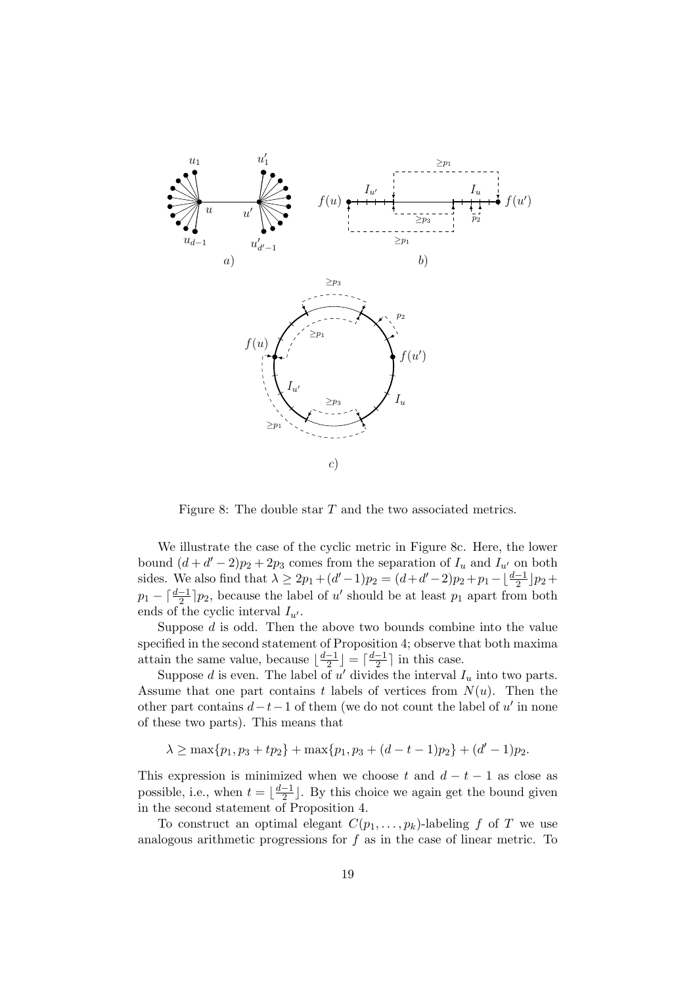

Figure 8: The double star  $T$  and the two associated metrics.

We illustrate the case of the cyclic metric in Figure 8c. Here, the lower bound  $(d + d' - 2)p_2 + 2p_3$  comes from the separation of  $I_u$  and  $I_{u'}$  on both sides. We also find that  $\lambda \geq 2p_1 + (d'-1)p_2 = (d+d'-2)p_2 + p_1 - \lfloor \frac{d-1}{2} \rfloor p_2 +$  $p_1 - \lceil \frac{d-1}{2} \rceil p_2$ , because the label of u' should be at least  $p_1$  apart from both ends of the cyclic interval  $I_{u'}$ .

Suppose  $d$  is odd. Then the above two bounds combine into the value specified in the second statement of Proposition 4; observe that both maxima attain the same value, because  $\lfloor \frac{d-1}{2} \rfloor = \lceil \frac{d-1}{2} \rceil$  in this case.

Suppose  $d$  is even. The label of  $u'$  divides the interval  $I_u$  into two parts. Assume that one part contains t labels of vertices from  $N(u)$ . Then the other part contains  $d-t-1$  of them (we do not count the label of u' in none of these two parts). This means that

$$
\lambda \ge \max\{p_1, p_3 + tp_2\} + \max\{p_1, p_3 + (d - t - 1)p_2\} + (d' - 1)p_2.
$$

This expression is minimized when we choose t and  $d - t - 1$  as close as possible, i.e., when  $t = \lfloor \frac{d-1}{2} \rfloor$ . By this choice we again get the bound given in the second statement of Proposition 4.

To construct an optimal elegant  $C(p_1, \ldots, p_k)$ -labeling f of T we use analogous arithmetic progressions for  $f$  as in the case of linear metric. To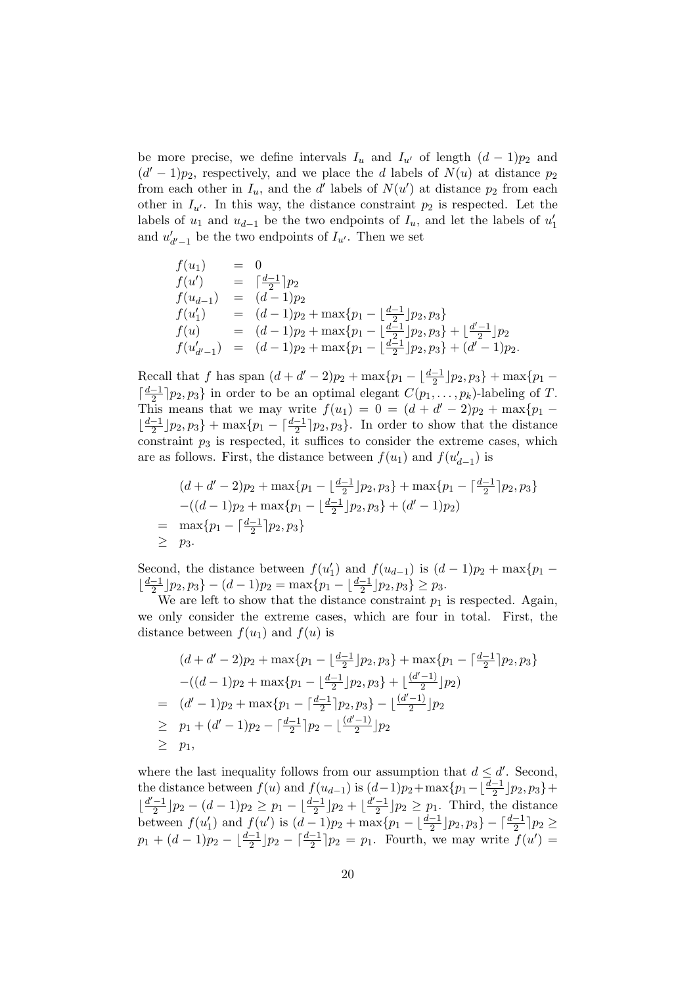be more precise, we define intervals  $I_u$  and  $I_{u'}$  of length  $(d-1)p_2$  and  $(d'-1)p_2$ , respectively, and we place the d labels of  $N(u)$  at distance  $p_2$ from each other in  $I_u$ , and the d' labels of  $N(u')$  at distance  $p_2$  from each other in  $I_{u'}$ . In this way, the distance constraint  $p_2$  is respected. Let the labels of  $u_1$  and  $u_{d-1}$  be the two endpoints of  $I_u$ , and let the labels of  $u'_1$ and  $u'_{d'-1}$  be the two endpoints of  $I_{u'}$ . Then we set

$$
f(u_1) = 0
$$
  
\n
$$
f(u') = \left[\frac{d-1}{2}\right]p_2
$$
  
\n
$$
f(u_{d-1}) = (d-1)p_2
$$
  
\n
$$
f(u'_1) = (d-1)p_2 + \max\{p_1 - \left\lfloor \frac{d-1}{2} \right\rfloor p_2, p_3\}
$$
  
\n
$$
f(u) = (d-1)p_2 + \max\{p_1 - \left\lfloor \frac{d-1}{2} \right\rfloor p_2, p_3\} + \left\lfloor \frac{d'-1}{2} \right\rfloor p_2
$$
  
\n
$$
f(u'_{d'-1}) = (d-1)p_2 + \max\{p_1 - \left\lfloor \frac{d-1}{2} \right\rfloor p_2, p_3\} + (d'-1)p_2.
$$

Recall that f has span  $(d + d' - 2)p_2 + \max\{p_1 - \lfloor \frac{d-1}{2} \rfloor p_2, p_3\} + \max\{p_1 - p_2\}$  $\lceil \frac{d-1}{2} \rceil p_2, p_3 \}$  in order to be an optimal elegant  $C(p_1, \ldots, p_k)$ -labeling of T. This means that we may write  $f(u_1) = 0 = (d + d' - 2)p_2 + \max\{p_1 \lfloor \frac{d-1}{2} \rfloor p_2, p_3 \}$  + max{ $p_1 - \lceil \frac{d-1}{2} \rceil p_2, p_3$ }. In order to show that the distance constraint  $p_3$  is respected, it suffices to consider the extreme cases, which are as follows. First, the distance between  $f(u_1)$  and  $f(u'_{d-1})$  is

$$
(d+d'-2)p_2 + \max\{p_1 - \lfloor \frac{d-1}{2} \rfloor p_2, p_3\} + \max\{p_1 - \lceil \frac{d-1}{2} \rceil p_2, p_3\} -( (d-1)p_2 + \max\{p_1 - \lfloor \frac{d-1}{2} \rfloor p_2, p_3\} + (d'-1)p_2) = \max\{p_1 - \lceil \frac{d-1}{2} \rceil p_2, p_3\} \ge p_3.
$$

Second, the distance between  $f(u'_1)$  and  $f(u_{d-1})$  is  $(d-1)p_2 + \max\{p_1 \lfloor \frac{d-1}{2} \rfloor p_2, p_3 \} - (d-1)p_2 = \max\{p_1 - \lfloor \frac{d-1}{2} \rfloor p_2, p_3\} \ge p_3.$ 

We are left to show that the distance constraint  $p_1$  is respected. Again, we only consider the extreme cases, which are four in total. First, the distance between  $f(u_1)$  and  $f(u)$  is

$$
(d + d' - 2)p_2 + \max\{p_1 - \lfloor \frac{d-1}{2} \rfloor p_2, p_3\} + \max\{p_1 - \lceil \frac{d-1}{2} \rceil p_2, p_3\} -((d-1)p_2 + \max\{p_1 - \lfloor \frac{d-1}{2} \rfloor p_2, p_3\} + \lfloor \frac{(d'-1)}{2} \rfloor p_2) = (d'-1)p_2 + \max\{p_1 - \lceil \frac{d-1}{2} \rceil p_2, p_3\} - \lfloor \frac{(d'-1)}{2} \rfloor p_2 \ge p_1 + (d'-1)p_2 - \lceil \frac{d-1}{2} \rceil p_2 - \lfloor \frac{(d'-1)}{2} \rfloor p_2 \ge p_1,
$$

where the last inequality follows from our assumption that  $d \leq d'$ . Second, the distance between  $f(u)$  and  $f(u_{d-1})$  is  $(d-1)p_2 + \max\{p_1 - \lfloor \frac{d-1}{2} \rfloor p_2, p_3\} +$  $\lfloor \frac{d'-1}{2} \rfloor p_2 - (d-1)p_2 \geq p_1 - \lfloor \frac{d-1}{2} \rfloor p_2 + \lfloor \frac{d'-1}{2} \rfloor p_2 \geq p_1$ . Third, the distance between  $f(u_1')$  and  $f(u')$  is  $(d-1)p_2 + \max\{p_1 - \lfloor \frac{d-1}{2} \rfloor p_2, p_3\} - \lceil \frac{d-1}{2} \rceil p_2 \ge$  $p_1 + (d-1)p_2 - \lfloor \frac{d-1}{2} \rfloor p_2 - \lceil \frac{d-1}{2} \rceil p_2 = p_1$ . Fourth, we may write  $f(u') =$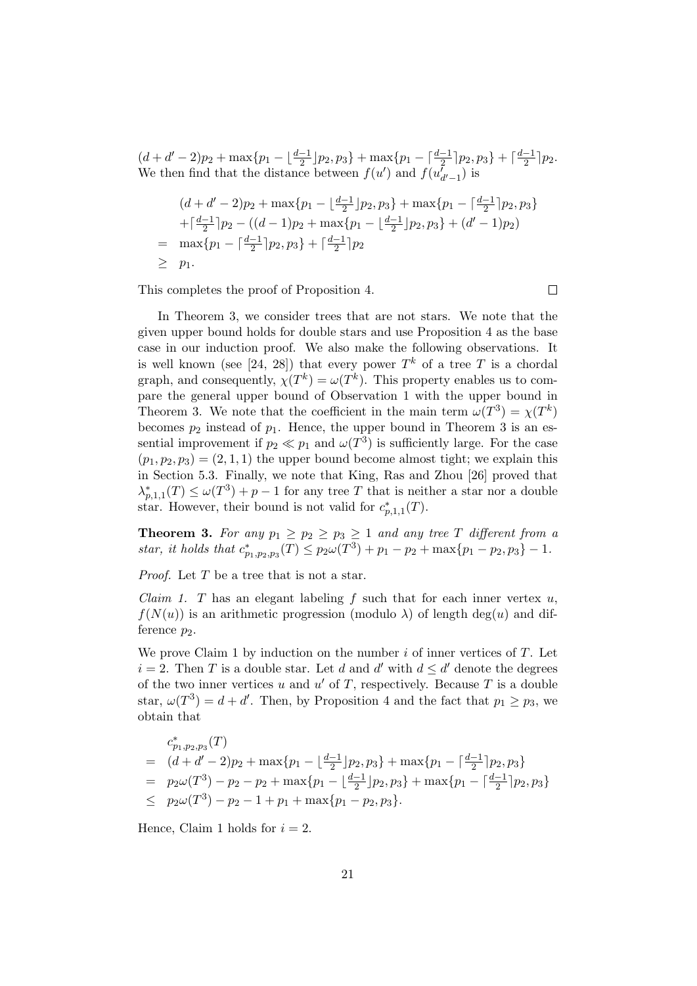$(d+d'-2)p_2+\max\{p_1-\lfloor\frac{d-1}{2}\rfloor p_2, p_3\}+\max\{p_1-\lceil\frac{d-1}{2}\rceil p_2, p_3\}+\lceil\frac{d-1}{2}\rceil p_2.$ We then find that the distance between  $f(u')$  and  $f(u'_{d'-1})$  is

$$
(d+d'-2)p_2 + \max\{p_1 - \lfloor \frac{d-1}{2} \rfloor p_2, p_3\} + \max\{p_1 - \lceil \frac{d-1}{2} \rceil p_2, p_3\} + \lceil \frac{d-1}{2} \rceil p_2 - ((d-1)p_2 + \max\{p_1 - \lfloor \frac{d-1}{2} \rfloor p_2, p_3\} + (d'-1)p_2) = \max\{p_1 - \lceil \frac{d-1}{2} \rceil p_2, p_3\} + \lceil \frac{d-1}{2} \rceil p_2 \ge p_1.
$$

 $\Box$ 

This completes the proof of Proposition 4.

In Theorem 3, we consider trees that are not stars. We note that the given upper bound holds for double stars and use Proposition 4 as the base case in our induction proof. We also make the following observations. It is well known (see [24, 28]) that every power  $T^k$  of a tree T is a chordal graph, and consequently,  $\chi(T^k) = \omega(T^k)$ . This property enables us to compare the general upper bound of Observation 1 with the upper bound in Theorem 3. We note that the coefficient in the main term  $\omega(T^3) = \chi(T^k)$ becomes  $p_2$  instead of  $p_1$ . Hence, the upper bound in Theorem 3 is an essential improvement if  $p_2 \ll p_1$  and  $\omega(T^3)$  is sufficiently large. For the case  $(p_1, p_2, p_3) = (2, 1, 1)$  the upper bound become almost tight; we explain this in Section 5.3. Finally, we note that King, Ras and Zhou [26] proved that  $\lambda_{p,1,1}^*(T) \le \omega(T^3) + p - 1$  for any tree T that is neither a star nor a double star. However, their bound is not valid for  $c^*_{p,1,1}(T)$ .

**Theorem 3.** For any  $p_1 \geq p_2 \geq p_3 \geq 1$  and any tree T different from a star, it holds that  $c^*_{p_1,p_2,p_3}(T) \leq p_2 \omega(T^3) + p_1 - p_2 + \max\{p_1 - p_2, p_3\} - 1$ .

Proof. Let T be a tree that is not a star.

*Claim 1.* T has an elegant labeling f such that for each inner vertex  $u$ ,  $f(N(u))$  is an arithmetic progression (modulo  $\lambda$ ) of length deg(u) and difference  $p_2$ .

We prove Claim 1 by induction on the number  $i$  of inner vertices of  $T$ . Let  $i = 2$ . Then T is a double star. Let d and d' with  $d \leq d'$  denote the degrees of the two inner vertices u and u' of T, respectively. Because T is a double star,  $\omega(T^3) = d + d'$ . Then, by Proposition 4 and the fact that  $p_1 \geq p_3$ , we obtain that

$$
c_{p_1,p_2,p_3}^*(T)
$$
  
=  $(d+d'-2)p_2 + \max\{p_1 - \lfloor \frac{d-1}{2} \rfloor p_2, p_3\} + \max\{p_1 - \lceil \frac{d-1}{2} \rceil p_2, p_3\}$   
=  $p_2\omega(T^3) - p_2 - p_2 + \max\{p_1 - \lfloor \frac{d-1}{2} \rfloor p_2, p_3\} + \max\{p_1 - \lceil \frac{d-1}{2} \rceil p_2, p_3\}$   
\$\leq p\_2\omega(T^3) - p\_2 - 1 + p\_1 + \max\{p\_1 - p\_2, p\_3\}.

Hence, Claim 1 holds for  $i = 2$ .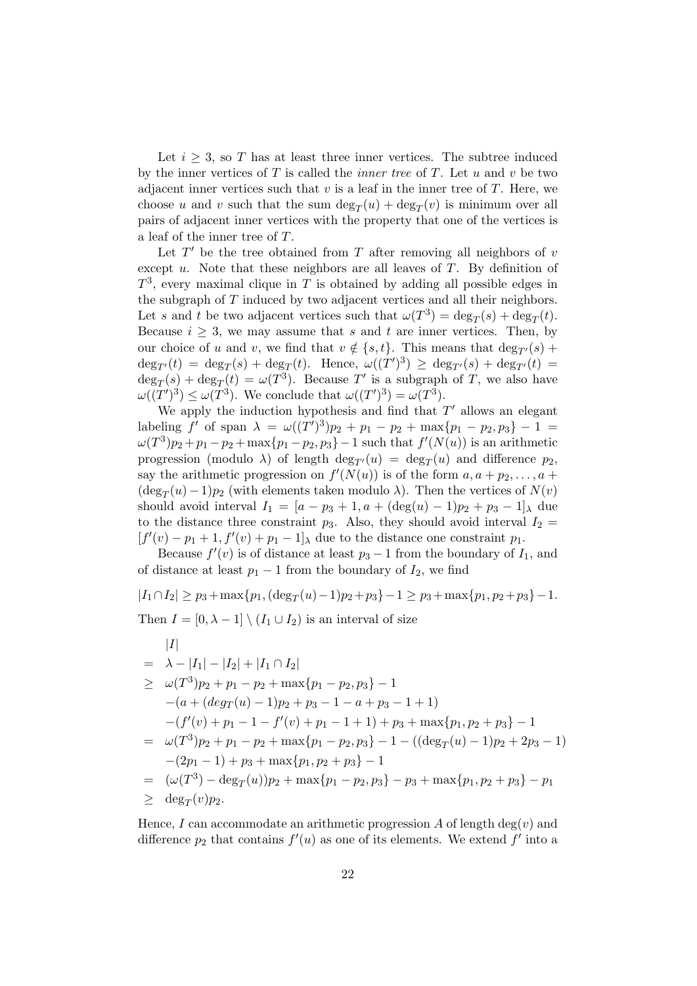Let  $i \geq 3$ , so T has at least three inner vertices. The subtree induced by the inner vertices of  $T$  is called the *inner tree* of  $T$ . Let  $u$  and  $v$  be two adjacent inner vertices such that  $v$  is a leaf in the inner tree of  $T$ . Here, we choose u and v such that the sum  $\deg_T(u) + \deg_T(v)$  is minimum over all pairs of adjacent inner vertices with the property that one of the vertices is a leaf of the inner tree of T.

Let  $T'$  be the tree obtained from  $T$  after removing all neighbors of  $v$ except  $u$ . Note that these neighbors are all leaves of  $T$ . By definition of  $T<sup>3</sup>$ , every maximal clique in T is obtained by adding all possible edges in the subgraph of  $T$  induced by two adjacent vertices and all their neighbors. Let s and t be two adjacent vertices such that  $\omega(T^3) = \deg_T(s) + \deg_T(t)$ . Because  $i \geq 3$ , we may assume that s and t are inner vertices. Then, by our choice of u and v, we find that  $v \notin \{s, t\}$ . This means that  $\deg_{T'}(s)$  +  $deg_{T'}(t) = deg_T(s) + deg_T(t)$ . Hence,  $\omega((T')^3) \ge deg_{T'}(s) + deg_{T'}(t)$  $deg_T(s) + deg_T(t) = \omega(T^3)$ . Because T' is a subgraph of T, we also have  $\omega((T')^3) \leq \omega(T^3)$ . We conclude that  $\omega((T')^3) = \omega(T^3)$ .

We apply the induction hypothesis and find that  $T'$  allows an elegant labeling  $f'$  of span  $\lambda = \omega((T')^3)p_2 + p_1 - p_2 + \max\{p_1 - p_2, p_3\} - 1 =$  $\omega(T^3)p_2 + p_1 - p_2 + \max\{p_1 - p_2, p_3\} - 1$  such that  $f'(N(u))$  is an arithmetic progression (modulo  $\lambda$ ) of length  $\deg_{T}(u) = \deg_T(u)$  and difference  $p_2$ , say the arithmetic progression on  $f'(N(u))$  is of the form  $a, a + p_2, \ldots, a + p_n$  $(\deg_T(u) - 1)p_2$  (with elements taken modulo  $\lambda$ ). Then the vertices of  $N(v)$ should avoid interval  $I_1 = [a - p_3 + 1, a + (\deg(u) - 1)p_2 + p_3 - 1]$ <sub>λ</sub> due to the distance three constraint  $p_3$ . Also, they should avoid interval  $I_2$  =  $[f'(v) - p_1 + 1, f'(v) + p_1 - 1]$  due to the distance one constraint  $p_1$ .

Because  $f'(v)$  is of distance at least  $p_3 - 1$  from the boundary of  $I_1$ , and of distance at least  $p_1 - 1$  from the boundary of  $I_2$ , we find

 $|I_1 \cap I_2| \geq p_3 + \max\{p_1, (\deg_T(u)-1)p_2+p_3\}-1 \geq p_3+\max\{p_1, p_2+p_3\}-1.$ 

Then  $I = [0, \lambda - 1] \setminus (I_1 \cup I_2)$  is an interval of size

$$
|I|
$$
  
\n
$$
= \lambda - |I_1| - |I_2| + |I_1 \cap I_2|
$$
  
\n
$$
\geq \omega(T^3)p_2 + p_1 - p_2 + \max\{p_1 - p_2, p_3\} - 1
$$
  
\n
$$
- (a + (deg_T(u) - 1)p_2 + p_3 - 1 - a + p_3 - 1 + 1)
$$
  
\n
$$
- (f'(v) + p_1 - 1 - f'(v) + p_1 - 1 + 1) + p_3 + \max\{p_1, p_2 + p_3\} - 1
$$
  
\n
$$
= \omega(T^3)p_2 + p_1 - p_2 + \max\{p_1 - p_2, p_3\} - 1 - ((deg_T(u) - 1)p_2 + 2p_3 - 1)
$$
  
\n
$$
- (2p_1 - 1) + p_3 + \max\{p_1, p_2 + p_3\} - 1
$$
  
\n
$$
= (\omega(T^3) - deg_T(u))p_2 + \max\{p_1 - p_2, p_3\} - p_3 + \max\{p_1, p_2 + p_3\} - p_1
$$
  
\n
$$
\geq deg_T(v)p_2.
$$

Hence, I can accommodate an arithmetic progression A of length  $deg(v)$  and difference  $p_2$  that contains  $f'(u)$  as one of its elements. We extend  $f'$  into a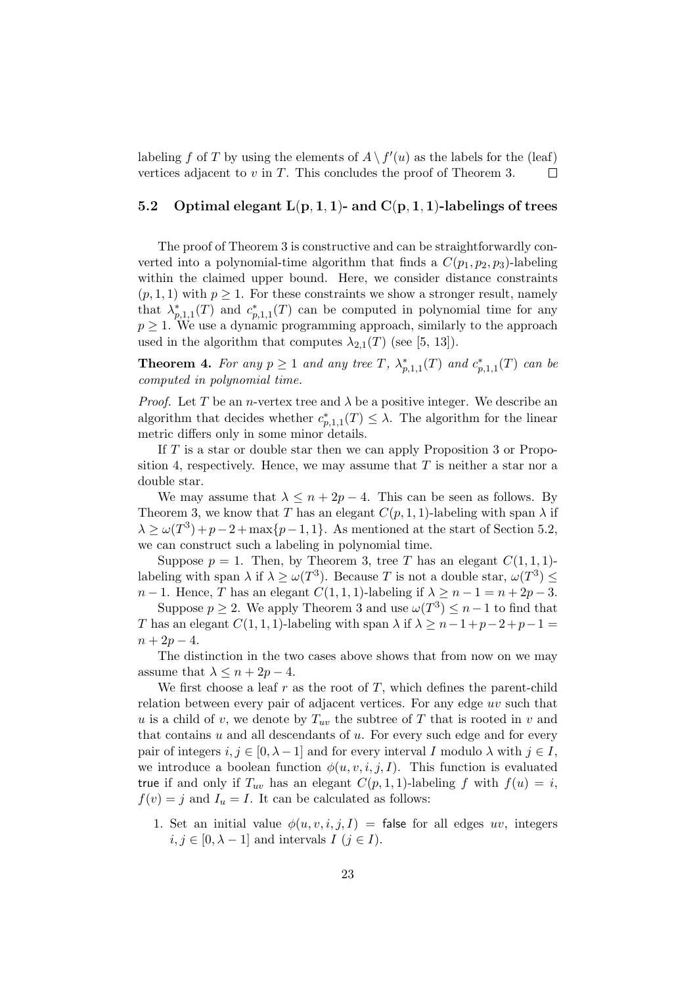labeling f of T by using the elements of  $A \setminus f'(u)$  as the labels for the (leaf) vertices adjacent to  $v$  in  $T$ . This concludes the proof of Theorem 3.  $\Box$ 

### 5.2 Optimal elegant  $L(p, 1, 1)$ - and  $C(p, 1, 1)$ -labelings of trees

The proof of Theorem 3 is constructive and can be straightforwardly converted into a polynomial-time algorithm that finds a  $C(p_1, p_2, p_3)$ -labeling within the claimed upper bound. Here, we consider distance constraints  $(p, 1, 1)$  with  $p \ge 1$ . For these constraints we show a stronger result, namely that  $\lambda_{p,1,1}^*(T)$  and  $c_{p,1,1}^*(T)$  can be computed in polynomial time for any  $p \geq 1$ . We use a dynamic programming approach, similarly to the approach used in the algorithm that computes  $\lambda_{2,1}(T)$  (see [5, 13]).

**Theorem 4.** For any  $p \ge 1$  and any tree T,  $\lambda^*_{p,1,1}(T)$  and  $c^*_{p,1,1}(T)$  can be computed in polynomial time.

*Proof.* Let T be an *n*-vertex tree and  $\lambda$  be a positive integer. We describe an algorithm that decides whether  $c_{p,1,1}^*(T) \leq \lambda$ . The algorithm for the linear metric differs only in some minor details.

If T is a star or double star then we can apply Proposition 3 or Proposition 4, respectively. Hence, we may assume that  $T$  is neither a star nor a double star.

We may assume that  $\lambda \leq n + 2p - 4$ . This can be seen as follows. By Theorem 3, we know that T has an elegant  $C(p, 1, 1)$ -labeling with span  $\lambda$  if  $\lambda \ge \omega(T^3) + p - 2 + \max\{p-1, 1\}.$  As mentioned at the start of Section 5.2, we can construct such a labeling in polynomial time.

Suppose  $p = 1$ . Then, by Theorem 3, tree T has an elegant  $C(1,1,1)$ labeling with span  $\lambda$  if  $\lambda \ge \omega(T^3)$ . Because T is not a double star,  $\omega(T^3) \le$  $n-1$ . Hence, T has an elegant  $C(1,1,1)$ -labeling if  $\lambda \geq n-1 = n+2p-3$ .

Suppose  $p \ge 2$ . We apply Theorem 3 and use  $\omega(T^3) \le n - 1$  to find that T has an elegant  $C(1, 1, 1)$ -labeling with span  $\lambda$  if  $\lambda \geq n-1+p-2+p-1$  $n + 2p - 4.$ 

The distinction in the two cases above shows that from now on we may assume that  $\lambda \leq n + 2p - 4$ .

We first choose a leaf  $r$  as the root of  $T$ , which defines the parent-child relation between every pair of adjacent vertices. For any edge uv such that u is a child of v, we denote by  $T_{uv}$  the subtree of T that is rooted in v and that contains  $u$  and all descendants of  $u$ . For every such edge and for every pair of integers  $i, j \in [0, \lambda - 1]$  and for every interval I modulo  $\lambda$  with  $j \in I$ , we introduce a boolean function  $\phi(u, v, i, j, I)$ . This function is evaluated true if and only if  $T_{uv}$  has an elegant  $C(p, 1, 1)$ -labeling f with  $f(u) = i$ ,  $f(v) = j$  and  $I_u = I$ . It can be calculated as follows:

1. Set an initial value  $\phi(u, v, i, j, I)$  = false for all edges uv, integers  $i, j \in [0, \lambda - 1]$  and intervals  $I (j \in I)$ .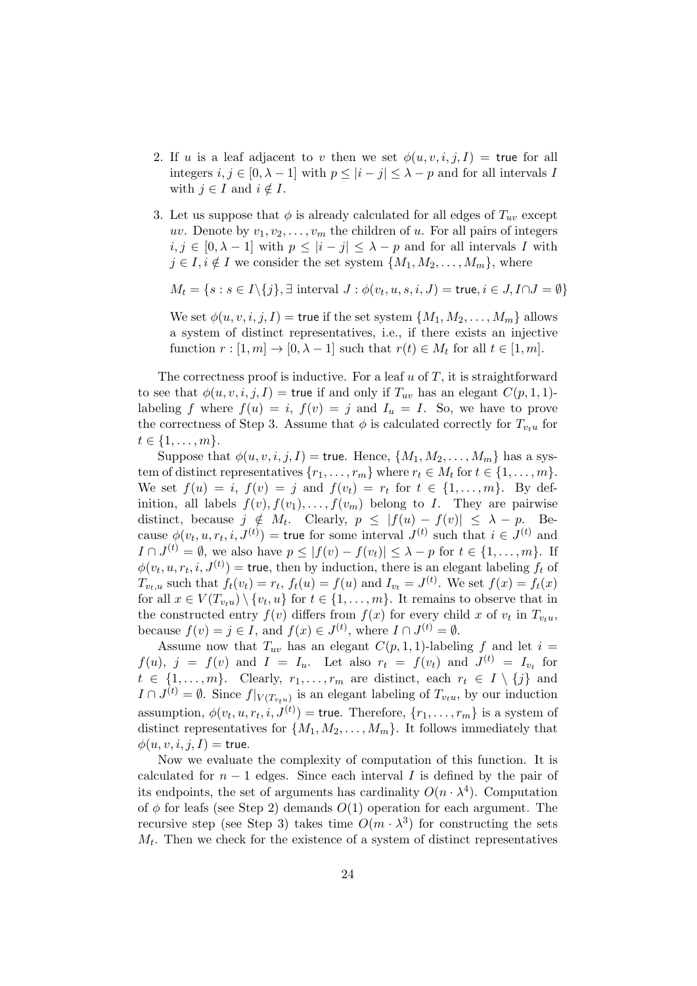- 2. If u is a leaf adjacent to v then we set  $\phi(u, v, i, j, I) =$  true for all integers  $i, j \in [0, \lambda - 1]$  with  $p \leq |i - j| \leq \lambda - p$  and for all intervals I with  $j \in I$  and  $i \notin I$ .
- 3. Let us suppose that  $\phi$  is already calculated for all edges of  $T_{uv}$  except uv. Denote by  $v_1, v_2, \ldots, v_m$  the children of u. For all pairs of integers  $i, j \in [0, \lambda - 1]$  with  $p \leq |i - j| \leq \lambda - p$  and for all intervals I with  $j \in I, i \notin I$  we consider the set system  $\{M_1, M_2, \ldots, M_m\}$ , where

$$
M_t = \{ s : s \in I \setminus \{j\}, \exists \text{ interval } J : \phi(v_t, u, s, i, J) = \text{true}, i \in J, I \cap J = \emptyset \}
$$

We set  $\phi(u, v, i, j, I)$  = true if the set system  $\{M_1, M_2, \ldots, M_m\}$  allows a system of distinct representatives, i.e., if there exists an injective function  $r : [1, m] \to [0, \lambda - 1]$  such that  $r(t) \in M_t$  for all  $t \in [1, m]$ .

The correctness proof is inductive. For a leaf  $u$  of  $T$ , it is straightforward to see that  $\phi(u, v, i, j, I)$  = true if and only if  $T_{uv}$  has an elegant  $C(p, 1, 1)$ labeling f where  $f(u) = i$ ,  $f(v) = j$  and  $I_u = I$ . So, we have to prove the correctness of Step 3. Assume that  $\phi$  is calculated correctly for  $T_{v_t}$  for  $t \in \{1, \ldots, m\}.$ 

Suppose that  $\phi(u, v, i, j, I) =$  true. Hence,  $\{M_1, M_2, \ldots, M_m\}$  has a system of distinct representatives  $\{r_1, \ldots, r_m\}$  where  $r_t \in M_t$  for  $t \in \{1, \ldots, m\}$ . We set  $f(u) = i$ ,  $f(v) = j$  and  $f(v_t) = r_t$  for  $t \in \{1, \ldots, m\}$ . By definition, all labels  $f(v), f(v_1), \ldots, f(v_m)$  belong to I. They are pairwise distinct, because  $j \notin M_t$ . Clearly,  $p \leq |f(u) - f(v)| \leq \lambda - p$ . Because  $\phi(v_t, u, r_t, i, J^{(t)})$  = true for some interval  $J^{(t)}$  such that  $i \in J^{(t)}$  and  $I \cap J^{(t)} = \emptyset$ , we also have  $p \leq |f(v) - f(v_t)| \leq \lambda - p$  for  $t \in \{1, \ldots, m\}$ . If  $\phi(v_t, u, r_t, i, J^{(t)}) =$  true, then by induction, there is an elegant labeling  $f_t$  of  $T_{v_t,u}$  such that  $f_t(v_t) = r_t$ ,  $f_t(u) = f(u)$  and  $I_{v_t} = J^{(t)}$ . We set  $f(x) = f_t(x)$ for all  $x \in V(T_{v_t u}) \setminus \{v_t, u\}$  for  $t \in \{1, \ldots, m\}$ . It remains to observe that in the constructed entry  $f(v)$  differs from  $f(x)$  for every child x of  $v_t$  in  $T_{v_t u}$ , because  $f(v) = j \in I$ , and  $f(x) \in J^{(t)}$ , where  $I \cap J^{(t)} = \emptyset$ .

Assume now that  $T_{uv}$  has an elegant  $C(p, 1, 1)$ -labeling f and let  $i =$  $f(u)$ ,  $j = f(v)$  and  $I = I_u$ . Let also  $r_t = f(v_t)$  and  $J^{(t)} = I_{v_t}$  for  $t \in \{1, \ldots, m\}$ . Clearly,  $r_1, \ldots, r_m$  are distinct, each  $r_t \in I \setminus \{j\}$  and  $I \cap J^{(t)} = \emptyset$ . Since  $f|_{V(T_{v_t u})}$  is an elegant labeling of  $T_{v_t u}$ , by our induction assumption,  $\phi(v_t, u, r_t, i, J^{(t)}) =$  true. Therefore,  $\{r_1, \ldots, r_m\}$  is a system of distinct representatives for  $\{M_1, M_2, \ldots, M_m\}$ . It follows immediately that  $\phi(u, v, i, j, I) =$  true.

Now we evaluate the complexity of computation of this function. It is calculated for  $n-1$  edges. Since each interval I is defined by the pair of its endpoints, the set of arguments has cardinality  $O(n \cdot \lambda^4)$ . Computation of  $\phi$  for leafs (see Step 2) demands  $O(1)$  operation for each argument. The recursive step (see Step 3) takes time  $O(m \cdot \lambda^3)$  for constructing the sets  $M_t$ . Then we check for the existence of a system of distinct representatives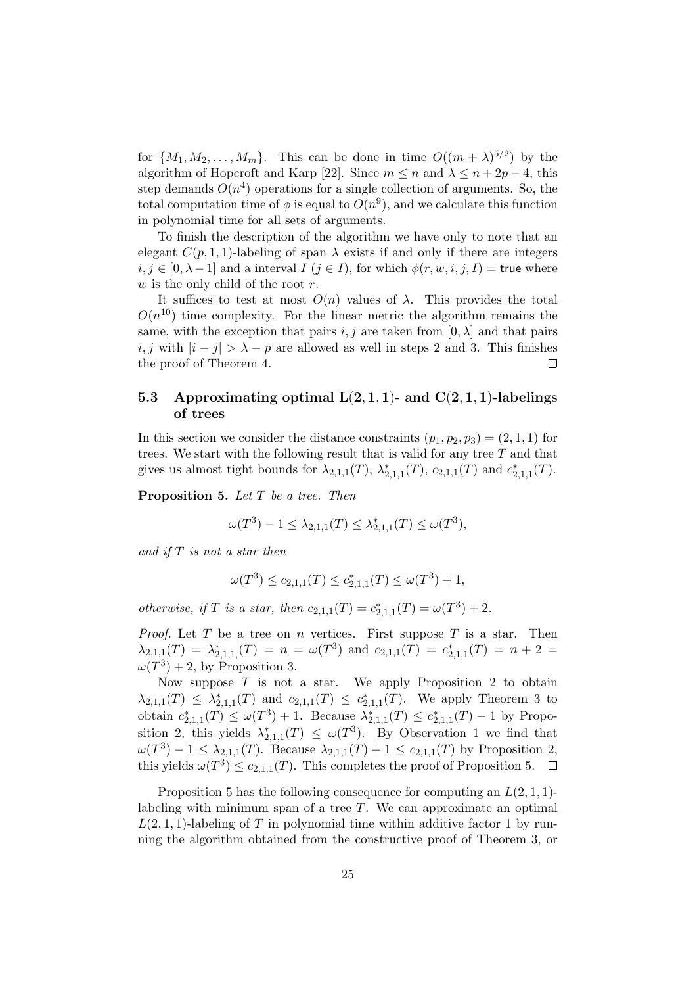for  $\{M_1, M_2, \ldots, M_m\}$ . This can be done in time  $O((m + \lambda)^{5/2})$  by the algorithm of Hopcroft and Karp [22]. Since  $m \leq n$  and  $\lambda \leq n + 2p - 4$ , this step demands  $O(n^4)$  operations for a single collection of arguments. So, the total computation time of  $\phi$  is equal to  $O(n^9)$ , and we calculate this function in polynomial time for all sets of arguments.

To finish the description of the algorithm we have only to note that an elegant  $C(p, 1, 1)$ -labeling of span  $\lambda$  exists if and only if there are integers  $i, j \in [0, \lambda - 1]$  and a interval  $I (j \in I)$ , for which  $\phi(r, w, i, j, I) =$  true where  $w$  is the only child of the root  $r$ .

It suffices to test at most  $O(n)$  values of  $\lambda$ . This provides the total  $O(n^{10})$  time complexity. For the linear metric the algorithm remains the same, with the exception that pairs  $i, j$  are taken from  $[0, \lambda]$  and that pairs *i*, *j* with  $|i - j| > \lambda - p$  are allowed as well in steps 2 and 3. This finishes the proof of Theorem 4.  $\Box$ the proof of Theorem 4.

### 5.3 Approximating optimal  $L(2,1,1)$ - and  $C(2,1,1)$ -labelings of trees

In this section we consider the distance constraints  $(p_1, p_2, p_3) = (2, 1, 1)$  for trees. We start with the following result that is valid for any tree  $T$  and that gives us almost tight bounds for  $\lambda_{2,1,1}(T)$ ,  $\lambda_{2,1,1}^{*}(T)$ ,  $c_{2,1,1}(T)$  and  $c_{2,1,1}^{*}(T)$ .

**Proposition 5.** Let  $T$  be a tree. Then

$$
\omega(T^3) - 1 \le \lambda_{2,1,1}(T) \le \lambda_{2,1,1}^*(T) \le \omega(T^3),
$$

and if T is not a star then

$$
\omega(T^3) \le c_{2,1,1}(T) \le c_{2,1,1}^*(T) \le \omega(T^3) + 1,
$$

otherwise, if T is a star, then  $c_{2,1,1}(T) = c_{2,1,1}^*(T) = \omega(T^3) + 2$ .

*Proof.* Let T be a tree on n vertices. First suppose T is a star. Then  $\lambda_{2,1,1}(T) = \lambda_{2,1,1,1}^*(T) = n = \omega(T^3)$  and  $c_{2,1,1}(T) = c_{2,1,1}^*(T) = n + 2 =$  $\omega(T^3) + 2$ , by Proposition 3.

Now suppose  $T$  is not a star. We apply Proposition 2 to obtain  $\lambda_{2,1,1}(T) \leq \lambda_{2,1,1}^*(T)$  and  $c_{2,1,1}(T) \leq c_{2,1,1}^*(T)$ . We apply Theorem 3 to obtain  $c_{2,1,1}^*(T) \le \omega(T^3) + 1$ . Because  $\lambda_{2,1,1}^*(T) \le c_{2,1,1}^*(T) - 1$  by Proposition 2, this yields  $\lambda_{2,1,1}^*(T) \leq \omega(T^3)$ . By Observation 1 we find that  $\omega(T^3) - 1 \leq \lambda_{2,1,1}(T)$ . Because  $\lambda_{2,1,1}(T) + 1 \leq c_{2,1,1}(T)$  by Proposition 2, this yields  $\omega(T^3) \leq c_{2,1,1}(T)$ . This completes the proof of Proposition 5.

Proposition 5 has the following consequence for computing an  $L(2,1,1)$ labeling with minimum span of a tree  $T$ . We can approximate an optimal  $L(2, 1, 1)$ -labeling of T in polynomial time within additive factor 1 by running the algorithm obtained from the constructive proof of Theorem 3, or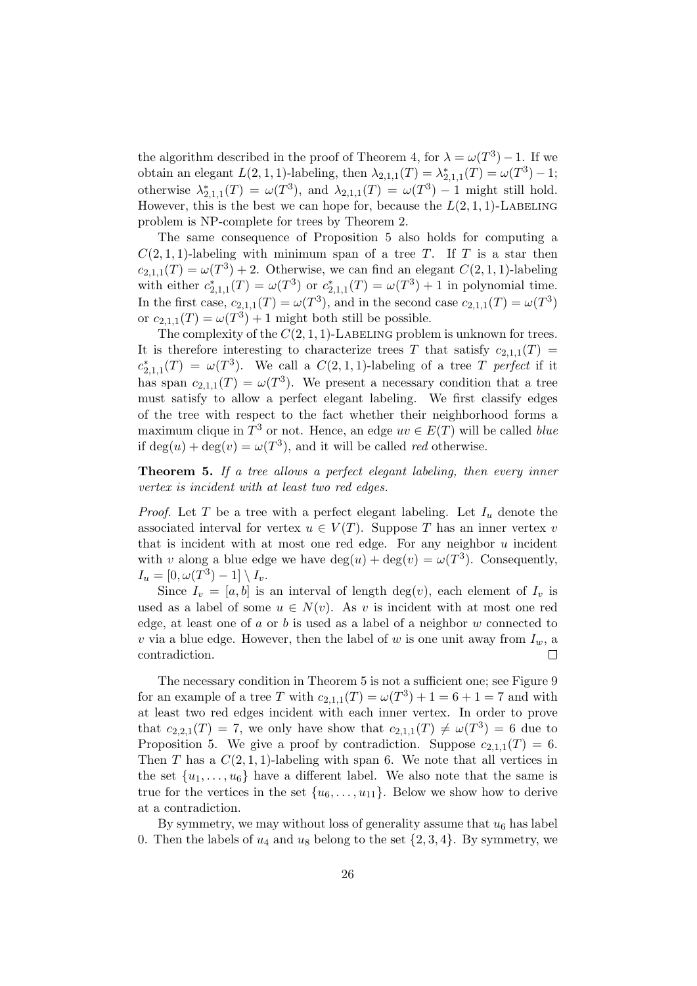the algorithm described in the proof of Theorem 4, for  $\lambda = \omega(T^3) - 1$ . If we obtain an elegant  $L(2,1,1)$ -labeling, then  $\lambda_{2,1,1}(T) = \lambda_{2,1,1}^*(T) = \omega(T^3) - 1;$ otherwise  $\lambda_{2,1,1}^*(T) = \omega(T^3)$ , and  $\lambda_{2,1,1}(T) = \omega(T^3) - 1$  might still hold. However, this is the best we can hope for, because the  $L(2,1,1)$ -LABELING problem is NP-complete for trees by Theorem 2.

The same consequence of Proposition 5 also holds for computing a  $C(2, 1, 1)$ -labeling with minimum span of a tree T. If T is a star then  $c_{2,1,1}(T) = \omega(T^3) + 2$ . Otherwise, we can find an elegant  $C(2,1,1)$ -labeling with either  $c_{2,1,1}^*(T) = \omega(T^3)$  or  $c_{2,1,1}^*(T) = \omega(T^3) + 1$  in polynomial time. In the first case,  $c_{2,1,1}(T) = \omega(T^3)$ , and in the second case  $c_{2,1,1}(T) = \omega(T^3)$ or  $c_{2,1,1}(T) = \omega(T^3) + 1$  might both still be possible.

The complexity of the  $C(2, 1, 1)$ -LABELING problem is unknown for trees. It is therefore interesting to characterize trees T that satisfy  $c_{2,1,1}(T) =$  $c_{2,1,1}^*(T) = \omega(T^3)$ . We call a  $C(2,1,1)$ -labeling of a tree T perfect if it has span  $c_{2,1,1}(T) = \omega(T^3)$ . We present a necessary condition that a tree must satisfy to allow a perfect elegant labeling. We first classify edges of the tree with respect to the fact whether their neighborhood forms a maximum clique in  $T^3$  or not. Hence, an edge  $uv \in E(T)$  will be called *blue* if  $deg(u) + deg(v) = \omega(T^3)$ , and it will be called *red* otherwise.

Theorem 5. If a tree allows a perfect elegant labeling, then every inner vertex is incident with at least two red edges.

*Proof.* Let T be a tree with a perfect elegant labeling. Let  $I_u$  denote the associated interval for vertex  $u \in V(T)$ . Suppose T has an inner vertex v that is incident with at most one red edge. For any neighbor  $u$  incident with v along a blue edge we have  $\deg(u) + \deg(v) = \omega(T^3)$ . Consequently,  $I_u = [0, \omega(T^3) - 1] \setminus I_v.$ 

Since  $I_v = [a, b]$  is an interval of length deg(v), each element of  $I_v$  is used as a label of some  $u \in N(v)$ . As v is incident with at most one red edge, at least one of  $a$  or  $b$  is used as a label of a neighbor  $w$  connected to v via a blue edge. However, then the label of w is one unit away from  $I_w$ , a contradiction.  $\Box$ 

The necessary condition in Theorem 5 is not a sufficient one; see Figure 9 for an example of a tree T with  $c_{2,1,1}(T) = \omega(T^3) + 1 = 6 + 1 = 7$  and with at least two red edges incident with each inner vertex. In order to prove that  $c_{2,2,1}(T) = 7$ , we only have show that  $c_{2,1,1}(T) \neq \omega(T^3) = 6$  due to Proposition 5. We give a proof by contradiction. Suppose  $c_{2,1,1}(T) = 6$ . Then T has a  $C(2,1,1)$ -labeling with span 6. We note that all vertices in the set  $\{u_1, \ldots, u_6\}$  have a different label. We also note that the same is true for the vertices in the set  $\{u_6, \ldots, u_{11}\}$ . Below we show how to derive at a contradiction.

By symmetry, we may without loss of generality assume that  $u_6$  has label 0. Then the labels of  $u_4$  and  $u_8$  belong to the set  $\{2,3,4\}$ . By symmetry, we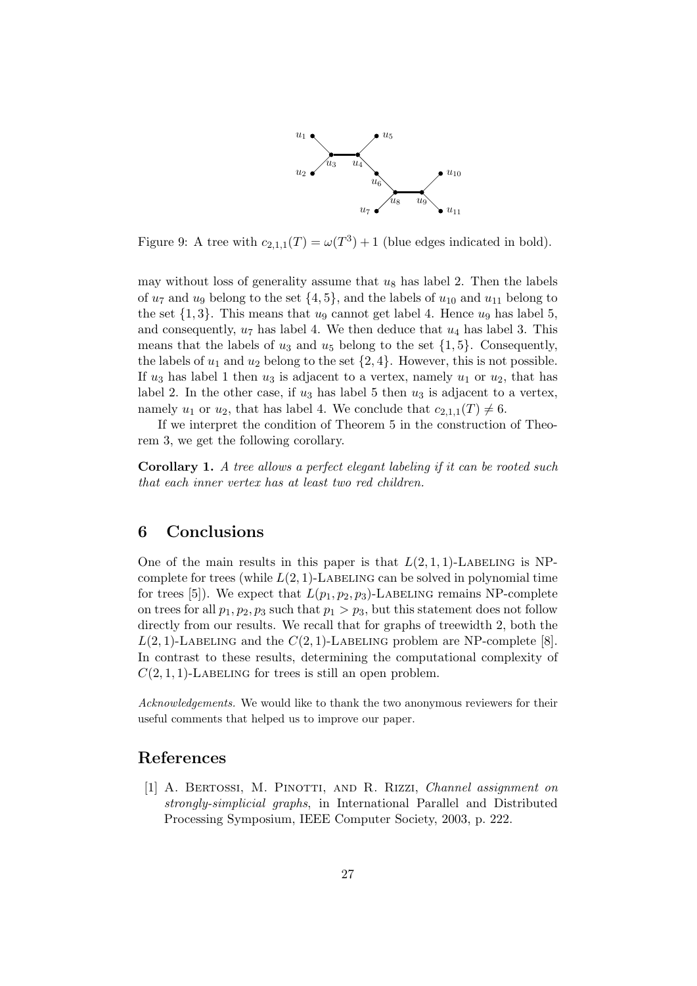

Figure 9: A tree with  $c_{2,1,1}(T) = \omega(T^3) + 1$  (blue edges indicated in bold).

may without loss of generality assume that  $u_8$  has label 2. Then the labels of  $u_7$  and  $u_9$  belong to the set  $\{4, 5\}$ , and the labels of  $u_{10}$  and  $u_{11}$  belong to the set  $\{1,3\}$ . This means that  $u_9$  cannot get label 4. Hence  $u_9$  has label 5, and consequently,  $u_7$  has label 4. We then deduce that  $u_4$  has label 3. This means that the labels of  $u_3$  and  $u_5$  belong to the set  $\{1, 5\}$ . Consequently, the labels of  $u_1$  and  $u_2$  belong to the set  $\{2, 4\}$ . However, this is not possible. If  $u_3$  has label 1 then  $u_3$  is adjacent to a vertex, namely  $u_1$  or  $u_2$ , that has label 2. In the other case, if  $u_3$  has label 5 then  $u_3$  is adjacent to a vertex, namely  $u_1$  or  $u_2$ , that has label 4. We conclude that  $c_{2,1,1}(T) \neq 6$ .

If we interpret the condition of Theorem 5 in the construction of Theorem 3, we get the following corollary.

Corollary 1. A tree allows a perfect elegant labeling if it can be rooted such that each inner vertex has at least two red children.

## 6 Conclusions

One of the main results in this paper is that  $L(2,1,1)$ -LABELING is NPcomplete for trees (while  $L(2, 1)$ -LABELING can be solved in polynomial time for trees [5]). We expect that  $L(p_1, p_2, p_3)$ -LABELING remains NP-complete on trees for all  $p_1, p_2, p_3$  such that  $p_1 > p_3$ , but this statement does not follow directly from our results. We recall that for graphs of treewidth 2, both the  $L(2, 1)$ -Labeling and the  $C(2, 1)$ -Labeling problem are NP-complete [8]. In contrast to these results, determining the computational complexity of  $C(2, 1, 1)$ -LABELING for trees is still an open problem.

Acknowledgements. We would like to thank the two anonymous reviewers for their useful comments that helped us to improve our paper.

## References

[1] A. BERTOSSI, M. PINOTTI, AND R. RIZZI, Channel assignment on strongly-simplicial graphs, in International Parallel and Distributed Processing Symposium, IEEE Computer Society, 2003, p. 222.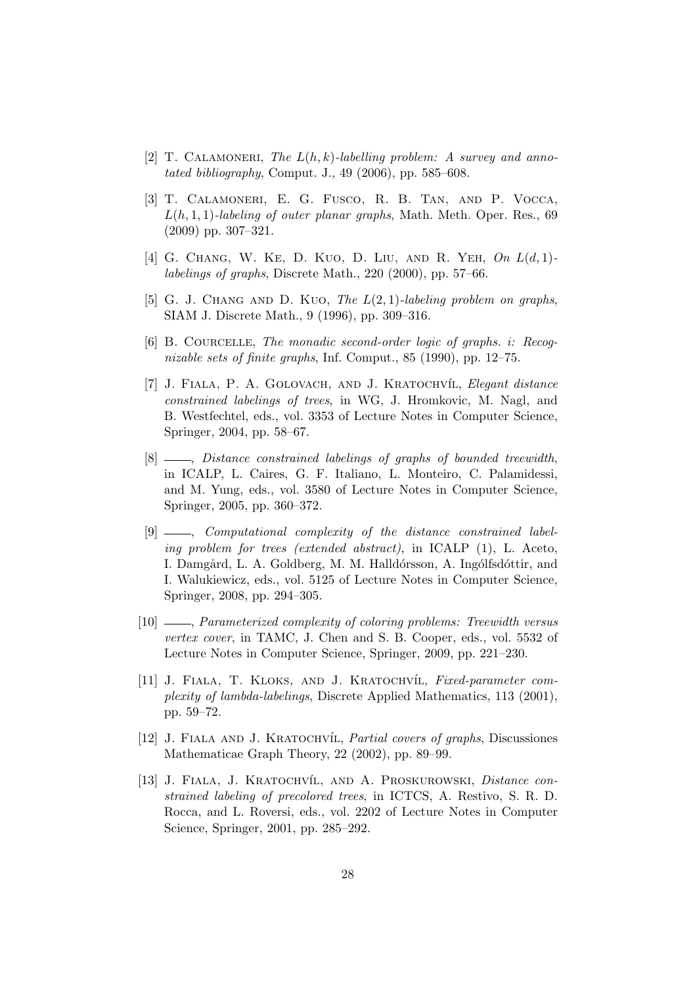- [2] T. CALAMONERI, The  $L(h, k)$ -labelling problem: A survey and annotated bibliography, Comput. J., 49 (2006), pp. 585–608.
- [3] T. Calamoneri, E. G. Fusco, R. B. Tan, and P. Vocca,  $L(h, 1, 1)$ -labeling of outer planar graphs, Math. Meth. Oper. Res., 69 (2009) pp. 307–321.
- [4] G. CHANG, W. KE, D. KUO, D. LIU, AND R. YEH,  $On L(d, 1)$ labelings of graphs, Discrete Math., 220 (2000), pp. 57–66.
- [5] G. J. CHANG AND D. KUO, The  $L(2,1)$ -labeling problem on graphs, SIAM J. Discrete Math., 9 (1996), pp. 309–316.
- [6] B. COURCELLE, The monadic second-order logic of graphs. i: Recognizable sets of finite graphs, Inf. Comput., 85 (1990), pp. 12–75.
- [7] J. Fiala, P. A. Golovach, and J. Kratochv´ıl, Elegant distance constrained labelings of trees, in WG, J. Hromkovic, M. Nagl, and B. Westfechtel, eds., vol. 3353 of Lecture Notes in Computer Science, Springer, 2004, pp. 58–67.
- [8]  $\_\_$ , Distance constrained labelings of graphs of bounded treewidth, in ICALP, L. Caires, G. F. Italiano, L. Monteiro, C. Palamidessi, and M. Yung, eds., vol. 3580 of Lecture Notes in Computer Science, Springer, 2005, pp. 360–372.
- $[9]$  , Computational complexity of the distance constrained labeling problem for trees (extended abstract), in ICALP (1), L. Aceto, I. Damgård, L. A. Goldberg, M. M. Halldórsson, A. Ingólfsdóttir, and I. Walukiewicz, eds., vol. 5125 of Lecture Notes in Computer Science, Springer, 2008, pp. 294–305.
- [10]  $\_\_\_\_\$ narameterized complexity of coloring problems: Treewidth versus vertex cover, in TAMC, J. Chen and S. B. Cooper, eds., vol. 5532 of Lecture Notes in Computer Science, Springer, 2009, pp. 221–230.
- [11] J. FIALA, T. KLOKS, AND J. KRATOCHVÍL, Fixed-parameter complexity of lambda-labelings, Discrete Applied Mathematics, 113 (2001), pp. 59–72.
- [12] J. FIALA AND J. KRATOCHVÍL, *Partial covers of graphs*, Discussiones Mathematicae Graph Theory, 22 (2002), pp. 89–99.
- [13] J. FIALA, J. KRATOCHVÍL, AND A. PROSKUROWSKI, Distance constrained labeling of precolored trees, in ICTCS, A. Restivo, S. R. D. Rocca, and L. Roversi, eds., vol. 2202 of Lecture Notes in Computer Science, Springer, 2001, pp. 285–292.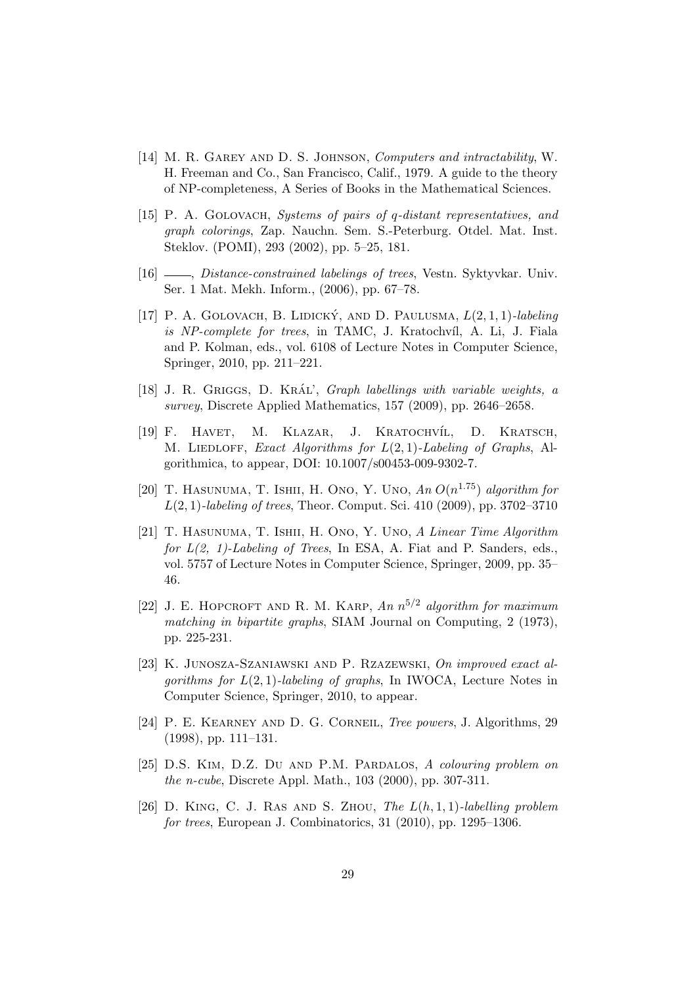- [14] M. R. GAREY AND D. S. JOHNSON, Computers and intractability, W. H. Freeman and Co., San Francisco, Calif., 1979. A guide to the theory of NP-completeness, A Series of Books in the Mathematical Sciences.
- [15] P. A. Golovach, Systems of pairs of q-distant representatives, and graph colorings, Zap. Nauchn. Sem. S.-Peterburg. Otdel. Mat. Inst. Steklov. (POMI), 293 (2002), pp. 5–25, 181.
- [16]  $\frac{16}{16}$  , Distance-constrained labelings of trees, Vestn. Syktyvkar. Univ. Ser. 1 Mat. Mekh. Inform., (2006), pp. 67–78.
- [17] P. A. GOLOVACH, B. LIDICKÝ, AND D. PAULUSMA,  $L(2, 1, 1)$ -labeling is  $NP-complete$  for trees, in TAMC, J. Kratochvíl, A. Li, J. Fiala and P. Kolman, eds., vol. 6108 of Lecture Notes in Computer Science, Springer, 2010, pp. 211–221.
- [18] J. R. GRIGGS, D. KRÁL', *Graph labellings with variable weights*, a survey, Discrete Applied Mathematics, 157 (2009), pp. 2646–2658.
- [19] F. HAVET, M. KLAZAR, J. KRATOCHVÍL, D. KRATSCH, M. LIEDLOFF, Exact Algorithms for  $L(2,1)$ -Labeling of Graphs, Algorithmica, to appear, DOI: 10.1007/s00453-009-9302-7.
- [20] T. HASUNUMA, T. ISHII, H. ONO, Y. UNO,  $An\ O(n^{1.75})$  algorithm for  $L(2, 1)$ -labeling of trees, Theor. Comput. Sci. 410 (2009), pp. 3702–3710
- [21] T. Hasunuma, T. Ishii, H. Ono, Y. Uno, A Linear Time Algorithm for  $L(2, 1)$ -Labeling of Trees, In ESA, A. Fiat and P. Sanders, eds., vol. 5757 of Lecture Notes in Computer Science, Springer, 2009, pp. 35– 46.
- [22] J. E. HOPCROFT AND R. M. KARP, An  $n^{5/2}$  algorithm for maximum matching in bipartite graphs, SIAM Journal on Computing, 2 (1973), pp. 225-231.
- [23] K. Junosza-Szaniawski and P. Rzazewski, On improved exact al*gorithms for*  $L(2, 1)$ *-labeling of graphs*, In IWOCA, Lecture Notes in Computer Science, Springer, 2010, to appear.
- [24] P. E. KEARNEY AND D. G. CORNEIL, *Tree powers*, J. Algorithms, 29 (1998), pp. 111–131.
- [25] D.S. Kim, D.Z. Du and P.M. Pardalos, A colouring problem on the n-cube, Discrete Appl. Math., 103 (2000), pp. 307-311.
- [26] D. KING, C. J. RAS AND S. ZHOU, The  $L(h, 1, 1)$ -labelling problem for trees, European J. Combinatorics, 31 (2010), pp. 1295–1306.